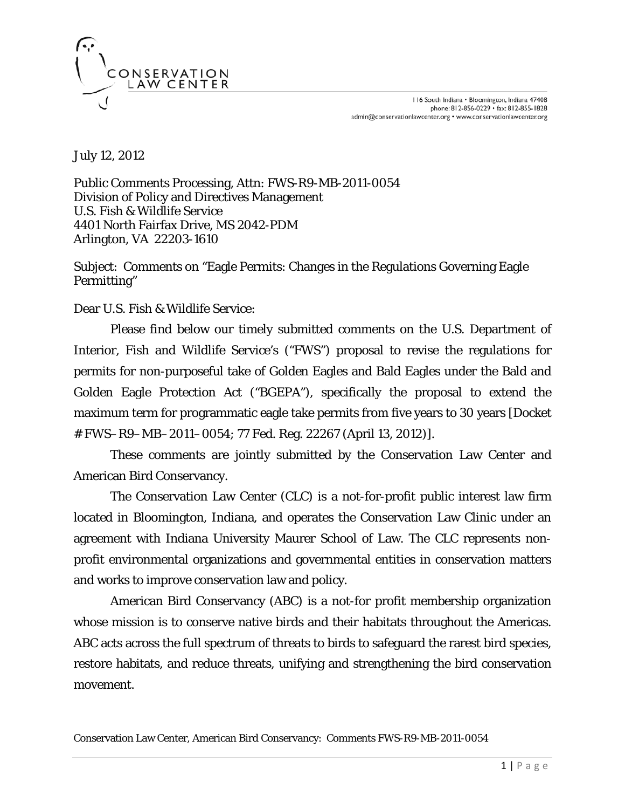

July 12, 2012

Public Comments Processing, Attn: FWS-R9-MB-2011-0054 Division of Policy and Directives Management U.S. Fish & Wildlife Service 4401 North Fairfax Drive, MS 2042-PDM Arlington, VA 22203-1610

Subject: Comments on "Eagle Permits: Changes in the Regulations Governing Eagle Permitting"

Dear U.S. Fish & Wildlife Service:

Please find below our timely submitted comments on the U.S. Department of Interior, Fish and Wildlife Service's ("FWS") proposal to revise the regulations for permits for non-purposeful take of Golden Eagles and Bald Eagles under the Bald and Golden Eagle Protection Act ("BGEPA"), specifically the proposal to extend the maximum term for programmatic eagle take permits from five years to 30 years [Docket # FWS–R9–MB–2011–0054; 77 Fed. Reg. 22267 (April 13, 2012)].

These comments are jointly submitted by the Conservation Law Center and American Bird Conservancy.

The Conservation Law Center (CLC) is a not-for-profit public interest law firm located in Bloomington, Indiana, and operates the Conservation Law Clinic under an agreement with Indiana University Maurer School of Law. The CLC represents nonprofit environmental organizations and governmental entities in conservation matters and works to improve conservation law and policy.

American Bird Conservancy (ABC) is a not-for profit membership organization whose mission is to conserve native birds and their habitats throughout the Americas. ABC acts across the full spectrum of threats to birds to safeguard the rarest bird species, restore habitats, and reduce threats, unifying and strengthening the bird conservation movement.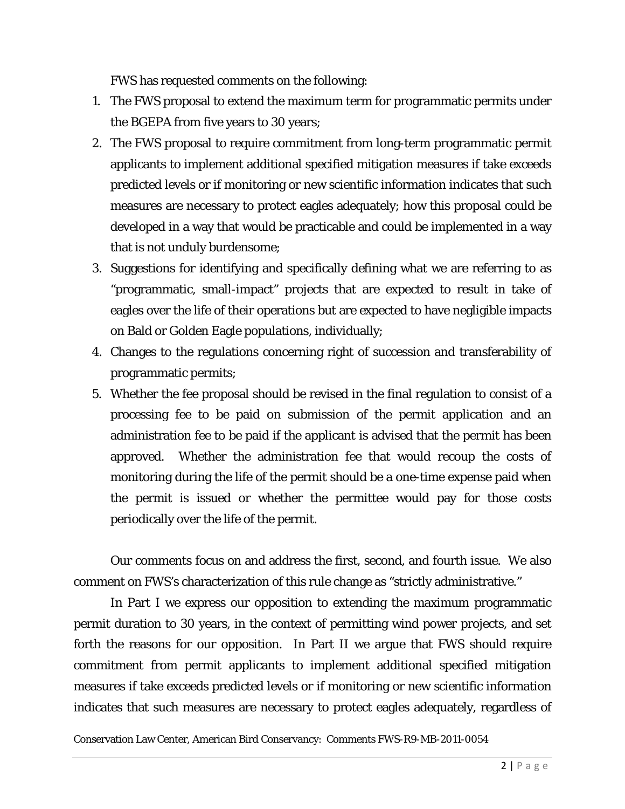FWS has requested comments on the following:

- 1. The FWS proposal to extend the maximum term for programmatic permits under the BGEPA from five years to 30 years;
- 2. The FWS proposal to require commitment from long-term programmatic permit applicants to implement additional specified mitigation measures if take exceeds predicted levels or if monitoring or new scientific information indicates that such measures are necessary to protect eagles adequately; how this proposal could be developed in a way that would be practicable and could be implemented in a way that is not unduly burdensome;
- 3. Suggestions for identifying and specifically defining what we are referring to as "programmatic, small-impact" projects that are expected to result in take of eagles over the life of their operations but are expected to have negligible impacts on Bald or Golden Eagle populations, individually;
- 4. Changes to the regulations concerning right of succession and transferability of programmatic permits;
- 5. Whether the fee proposal should be revised in the final regulation to consist of a processing fee to be paid on submission of the permit application and an administration fee to be paid if the applicant is advised that the permit has been approved. Whether the administration fee that would recoup the costs of monitoring during the life of the permit should be a one-time expense paid when the permit is issued or whether the permittee would pay for those costs periodically over the life of the permit.

Our comments focus on and address the first, second, and fourth issue. We also comment on FWS's characterization of this rule change as "strictly administrative."

In Part I we express our opposition to extending the maximum programmatic permit duration to 30 years, in the context of permitting wind power projects, and set forth the reasons for our opposition. In Part II we argue that FWS should require commitment from permit applicants to implement additional specified mitigation measures if take exceeds predicted levels or if monitoring or new scientific information indicates that such measures are necessary to protect eagles adequately, regardless of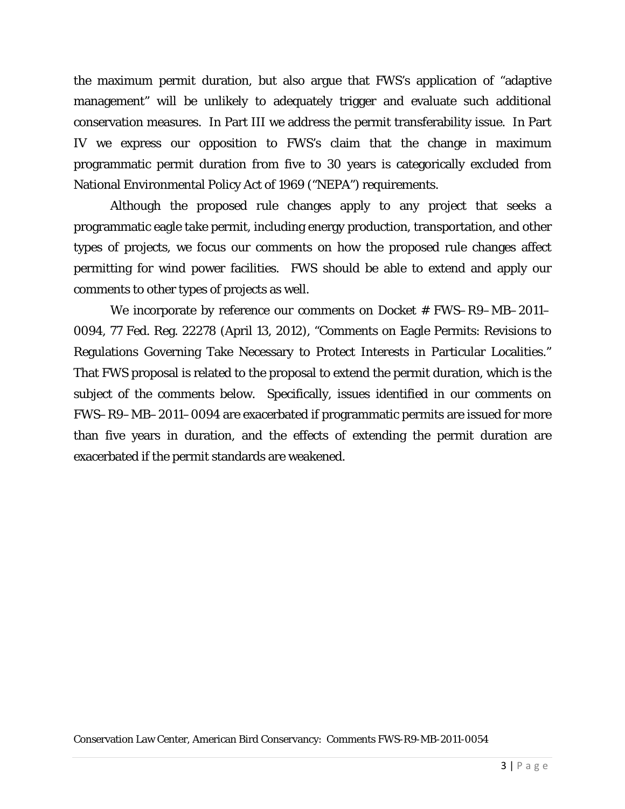the maximum permit duration, but also argue that FWS's application of "adaptive management" will be unlikely to adequately trigger and evaluate such additional conservation measures. In Part III we address the permit transferability issue. In Part IV we express our opposition to FWS's claim that the change in maximum programmatic permit duration from five to 30 years is categorically excluded from National Environmental Policy Act of 1969 ("NEPA") requirements.

Although the proposed rule changes apply to any project that seeks a programmatic eagle take permit, including energy production, transportation, and other types of projects, we focus our comments on how the proposed rule changes affect permitting for wind power facilities. FWS should be able to extend and apply our comments to other types of projects as well.

We incorporate by reference our comments on Docket # FWS–R9–MB–2011– 0094, 77 Fed. Reg. 22278 (April 13, 2012), "Comments on Eagle Permits: Revisions to Regulations Governing Take Necessary to Protect Interests in Particular Localities." That FWS proposal is related to the proposal to extend the permit duration, which is the subject of the comments below. Specifically, issues identified in our comments on FWS–R9–MB–2011–0094 are exacerbated if programmatic permits are issued for more than five years in duration, and the effects of extending the permit duration are exacerbated if the permit standards are weakened.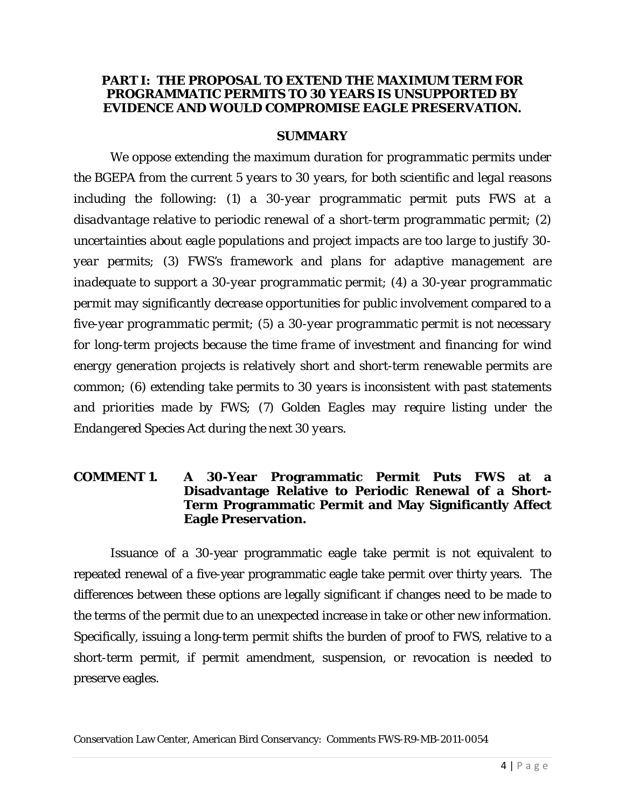#### **PART I: THE PROPOSAL TO EXTEND THE MAXIMUM TERM FOR PROGRAMMATIC PERMITS TO 30 YEARS IS UNSUPPORTED BY EVIDENCE AND WOULD COMPROMISE EAGLE PRESERVATION.**

#### **SUMMARY**

*We oppose extending the maximum duration for programmatic permits under the BGEPA from the current 5 years to 30 years, for both scientific and legal reasons including the following: (1) a 30-year programmatic permit puts FWS at a disadvantage relative to periodic renewal of a short-term programmatic permit; (2) uncertainties about eagle populations and project impacts are too large to justify 30 year permits; (3) FWS's framework and plans for adaptive management are inadequate to support a 30-year programmatic permit; (4) a 30-year programmatic permit may significantly decrease opportunities for public involvement compared to a five-year programmatic permit; (5) a 30-year programmatic permit is not necessary for long-term projects because the time frame of investment and financing for wind energy generation projects is relatively short and short-term renewable permits are common; (6) extending take permits to 30 years is inconsistent with past statements and priorities made by FWS; (7) Golden Eagles may require listing under the Endangered Species Act during the next 30 years.*

#### **COMMENT 1. A 30-Year Programmatic Permit Puts FWS at a Disadvantage Relative to Periodic Renewal of a Short-Term Programmatic Permit and May Significantly Affect Eagle Preservation.**

Issuance of a 30-year programmatic eagle take permit is not equivalent to repeated renewal of a five-year programmatic eagle take permit over thirty years. The differences between these options are legally significant if changes need to be made to the terms of the permit due to an unexpected increase in take or other new information. Specifically, issuing a long-term permit shifts the burden of proof to FWS, relative to a short-term permit, if permit amendment, suspension, or revocation is needed to preserve eagles.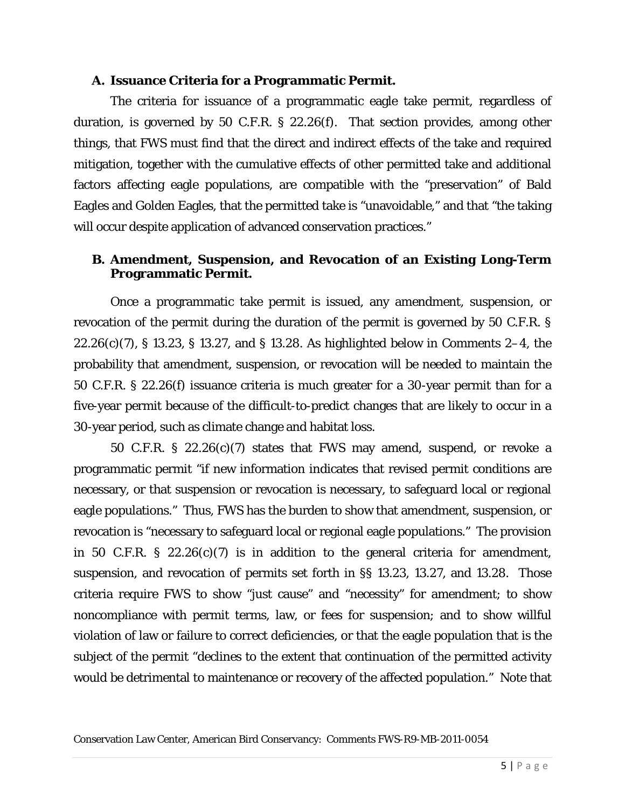#### **A. Issuance Criteria for a Programmatic Permit.**

The criteria for issuance of a programmatic eagle take permit, regardless of duration, is governed by 50 C.F.R. § 22.26(f). That section provides, among other things, that FWS must find that the direct and indirect effects of the take and required mitigation, together with the cumulative effects of other permitted take and additional factors affecting eagle populations, are compatible with the "preservation" of Bald Eagles and Golden Eagles, that the permitted take is "unavoidable," and that "the taking will occur despite application of advanced conservation practices."

### **B. Amendment, Suspension, and Revocation of an Existing Long-Term Programmatic Permit.**

Once a programmatic take permit is issued, any amendment, suspension, or revocation of the permit during the duration of the permit is governed by 50 C.F.R. § 22.26(c)(7), § 13.23, § 13.27, and § 13.28. As highlighted below in Comments 2–4, the probability that amendment, suspension, or revocation will be needed to maintain the 50 C.F.R. § 22.26(f) issuance criteria is much greater for a 30-year permit than for a five-year permit because of the difficult-to-predict changes that are likely to occur in a 30-year period, such as climate change and habitat loss.

50 C.F.R. § 22.26(c)(7) states that FWS may amend, suspend, or revoke a programmatic permit "if new information indicates that revised permit conditions are necessary, or that suspension or revocation is necessary, to safeguard local or regional eagle populations." Thus, FWS has the burden to show that amendment, suspension, or revocation is "necessary to safeguard local or regional eagle populations." The provision in 50 C.F.R. § 22.26 $(c)(7)$  is in addition to the general criteria for amendment, suspension, and revocation of permits set forth in §§ 13.23, 13.27, and 13.28. Those criteria require FWS to show "just cause" and "necessity" for amendment; to show noncompliance with permit terms, law, or fees for suspension; and to show willful violation of law or failure to correct deficiencies, or that the eagle population that is the subject of the permit "declines to the extent that continuation of the permitted activity would be detrimental to maintenance or recovery of the affected population." Note that

Conservation Law Center, American Bird Conservancy: Comments FWS-R9-MB-2011-0054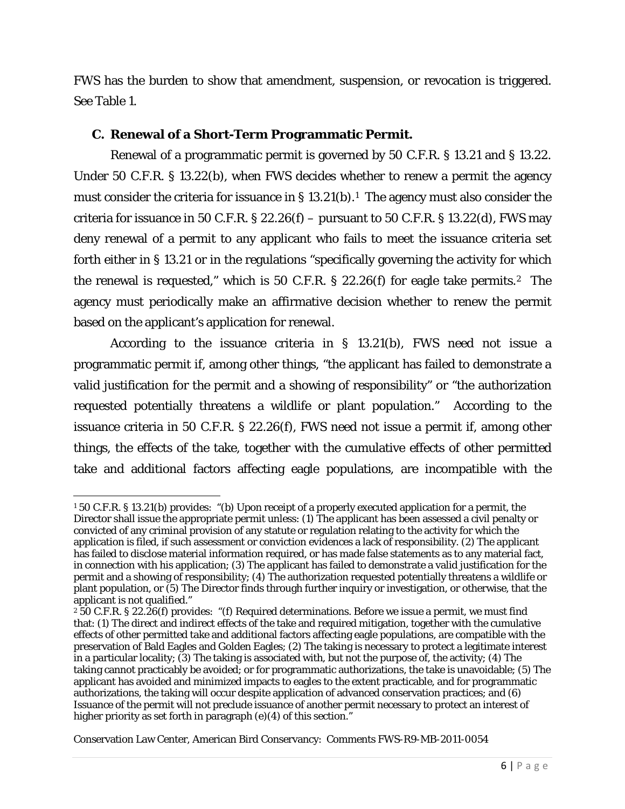FWS has the burden to show that amendment, suspension, or revocation is triggered. See Table 1.

#### **C. Renewal of a Short-Term Programmatic Permit.**

Renewal of a programmatic permit is governed by 50 C.F.R. § 13.21 and § 13.22. Under 50 C.F.R. § 13.22(b), when FWS decides whether to renew a permit the agency must consider the criteria for issuance in  $\S 13.21(b)$  $\S 13.21(b)$  $\S 13.21(b)$ .<sup>1</sup> The agency must also consider the criteria for issuance in 50 C.F.R. § 22.26(f) – pursuant to 50 C.F.R. § 13.22(d), FWS may deny renewal of a permit to any applicant who fails to meet the issuance criteria set forth either in § 13.21 or in the regulations "specifically governing the activity for which the renewal is requested," which is 50 C.F.R.  $\S$  22.26(f) for eagle take permits.<sup>2</sup> The agency must periodically make an affirmative decision whether to renew the permit based on the applicant's application for renewal.

According to the issuance criteria in § 13.21(b), FWS need not issue a programmatic permit if, among other things, "the applicant has failed to demonstrate a valid justification for the permit and a showing of responsibility" or "the authorization requested potentially threatens a wildlife or plant population." According to the issuance criteria in 50 C.F.R. § 22.26(f), FWS need not issue a permit if, among other things, the effects of the take, together with the cumulative effects of other permitted take and additional factors affecting eagle populations, are incompatible with the

 $\overline{\phantom{a}}$ 

<span id="page-5-0"></span><sup>1</sup> 50 C.F.R. § 13.21(b) provides: "(b) Upon receipt of a properly executed application for a permit, the Director shall issue the appropriate permit unless: (1) The applicant has been assessed a civil penalty or convicted of any criminal provision of any statute or regulation relating to the activity for which the application is filed, if such assessment or conviction evidences a lack of responsibility. (2) The applicant has failed to disclose material information required, or has made false statements as to any material fact, in connection with his application; (3) The applicant has failed to demonstrate a valid justification for the permit and a showing of responsibility; (4) The authorization requested potentially threatens a wildlife or plant population, or (5) The Director finds through further inquiry or investigation, or otherwise, that the applicant is not qualified."

<span id="page-5-1"></span><sup>2</sup> 50 C.F.R. § 22.26(f) provides: "(f) Required determinations. Before we issue a permit, we must find that: (1) The direct and indirect effects of the take and required mitigation, together with the cumulative effects of other permitted take and additional factors affecting eagle populations, are compatible with the preservation of Bald Eagles and Golden Eagles; (2) The taking is necessary to protect a legitimate interest in a particular locality; (3) The taking is associated with, but not the purpose of, the activity; (4) The taking cannot practicably be avoided; or for programmatic authorizations, the take is unavoidable; (5) The applicant has avoided and minimized impacts to eagles to the extent practicable, and for programmatic authorizations, the taking will occur despite application of advanced conservation practices; and (6) Issuance of the permit will not preclude issuance of another permit necessary to protect an interest of higher priority as set forth in paragraph (e)(4) of this section."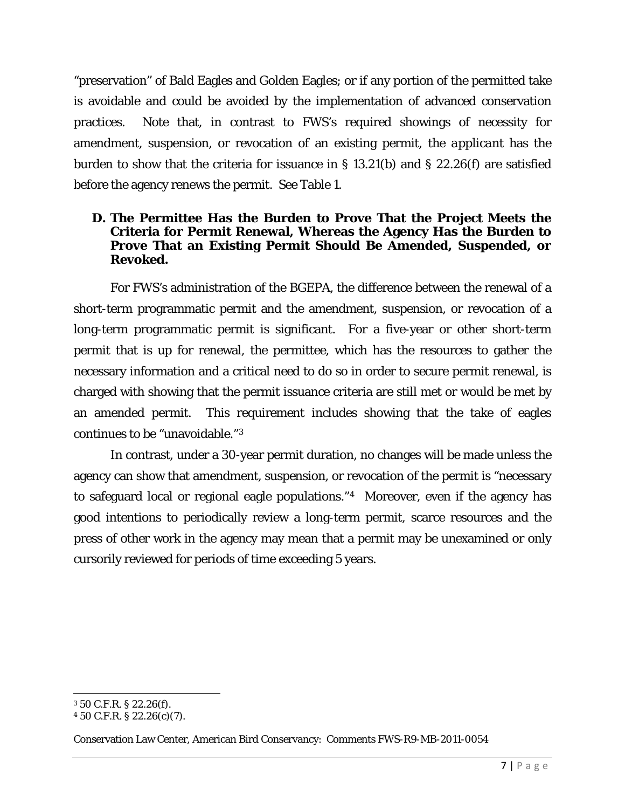"preservation" of Bald Eagles and Golden Eagles; or if any portion of the permitted take is avoidable and could be avoided by the implementation of advanced conservation practices. Note that, in contrast to FWS's required showings of necessity for amendment, suspension, or revocation of an existing permit, the *applicant* has the burden to show that the criteria for issuance in § 13.21(b) and § 22.26(f) are satisfied before the agency renews the permit. See Table 1.

### **D. The Permittee Has the Burden to Prove That the Project Meets the Criteria for Permit Renewal, Whereas the Agency Has the Burden to Prove That an Existing Permit Should Be Amended, Suspended, or Revoked.**

For FWS's administration of the BGEPA, the difference between the renewal of a short-term programmatic permit and the amendment, suspension, or revocation of a long-term programmatic permit is significant. For a five-year or other short-term permit that is up for renewal, the permittee, which has the resources to gather the necessary information and a critical need to do so in order to secure permit renewal, is charged with showing that the permit issuance criteria are still met or would be met by an amended permit. This requirement includes showing that the take of eagles continues to be "unavoidable."[3](#page-6-0)

In contrast, under a 30-year permit duration, no changes will be made unless the agency can show that amendment, suspension, or revocation of the permit is "necessary to safeguard local or regional eagle populations."[4](#page-6-1) Moreover, even if the agency has good intentions to periodically review a long-term permit, scarce resources and the press of other work in the agency may mean that a permit may be unexamined or only cursorily reviewed for periods of time exceeding 5 years.

l

<span id="page-6-0"></span><sup>3</sup> 50 C.F.R. § 22.26(f).

<span id="page-6-1"></span><sup>4</sup> 50 C.F.R. § 22.26(c)(7).

Conservation Law Center, American Bird Conservancy: Comments FWS-R9-MB-2011-0054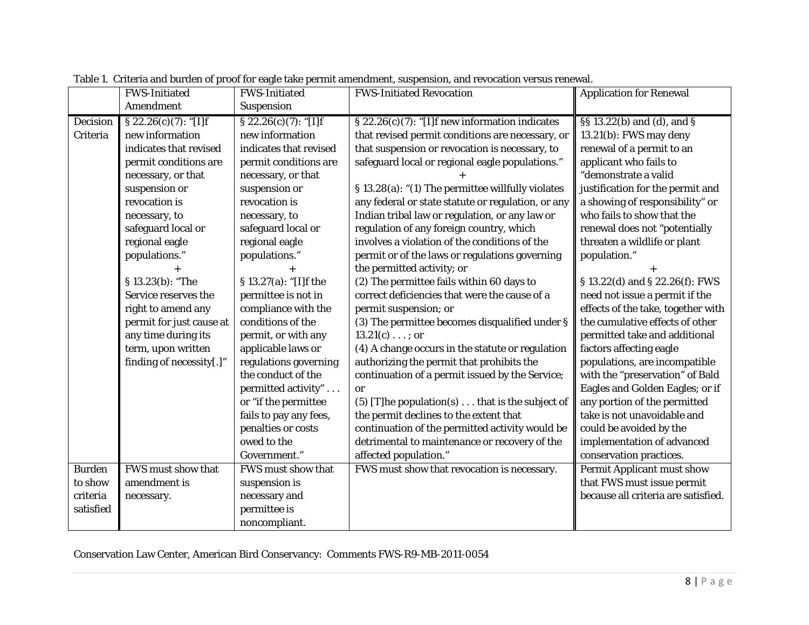|               | <b>FWS-Initiated</b>     | <b>FWS-Initiated</b>    | <b>FWS-Initiated Revocation</b>                         | <b>Application for Renewal</b>      |
|---------------|--------------------------|-------------------------|---------------------------------------------------------|-------------------------------------|
|               | Amendment                | Suspension              |                                                         |                                     |
| Decision      | $\S 22.26(c)(7):$ [I]f   | $\S 22.26(c)(7):$ "[I]f | § 22.26(c)(7): "[I]f new information indicates          | §§ 13.22(b) and (d), and §          |
| Criteria      | new information          | new information         | that revised permit conditions are necessary, or        | 13.21(b): FWS may deny              |
|               | indicates that revised   | indicates that revised  | that suspension or revocation is necessary, to          | renewal of a permit to an           |
|               | permit conditions are    | permit conditions are   | safeguard local or regional eagle populations."         | applicant who fails to              |
|               | necessary, or that       | necessary, or that      |                                                         | "demonstrate a valid                |
|               | suspension or            | suspension or           | § 13.28(a): "(1) The permittee willfully violates       | justification for the permit and    |
|               | revocation is            | revocation is           | any federal or state statute or regulation, or any      | a showing of responsibility" or     |
|               | necessary, to            | necessary, to           | Indian tribal law or regulation, or any law or          | who fails to show that the          |
|               | safeguard local or       | safeguard local or      | regulation of any foreign country, which                | renewal does not "potentially       |
|               | regional eagle           | regional eagle          | involves a violation of the conditions of the           | threaten a wildlife or plant        |
|               | populations."            | populations."           | permit or of the laws or regulations governing          | population."                        |
|               |                          |                         | the permitted activity; or                              |                                     |
|               | § 13.23(b): "The         | § 13.27(a): "[I]f the   | (2) The permittee fails within 60 days to               | § 13.22(d) and § 22.26(f): FWS      |
|               | Service reserves the     | permittee is not in     | correct deficiencies that were the cause of a           | need not issue a permit if the      |
|               | right to amend any       | compliance with the     | permit suspension; or                                   | effects of the take, together with  |
|               | permit for just cause at | conditions of the       | (3) The permittee becomes disqualified under §          | the cumulative effects of other     |
|               | any time during its      | permit, or with any     | $13.21(c) \ldots$ ; or                                  | permitted take and additional       |
|               | term, upon written       | applicable laws or      | (4) A change occurs in the statute or regulation        | factors affecting eagle             |
|               | finding of necessity[.]" | regulations governing   | authorizing the permit that prohibits the               | populations, are incompatible       |
|               |                          | the conduct of the      | continuation of a permit issued by the Service;         | with the "preservation" of Bald     |
|               |                          | permitted activity"     | or                                                      | Eagles and Golden Eagles; or if     |
|               |                          | or "if the permittee    | (5) [T] he population(s) $\dots$ that is the subject of | any portion of the permitted        |
|               |                          | fails to pay any fees,  | the permit declines to the extent that                  | take is not unavoidable and         |
|               |                          | penalties or costs      | continuation of the permitted activity would be         | could be avoided by the             |
|               |                          | owed to the             | detrimental to maintenance or recovery of the           | implementation of advanced          |
|               |                          | Government."            | affected population."                                   | conservation practices.             |
| <b>Burden</b> | FWS must show that       | FWS must show that      | FWS must show that revocation is necessary.             | <b>Permit Applicant must show</b>   |
| to show       | amendment is             | suspension is           |                                                         | that FWS must issue permit          |
| criteria      | necessary.               | necessary and           |                                                         | because all criteria are satisfied. |
| satisfied     |                          | permittee is            |                                                         |                                     |
|               |                          | noncompliant.           |                                                         |                                     |

Table 1. Criteria and burden of proof for eagle take permit amendment, suspension, and revocation versus renewal.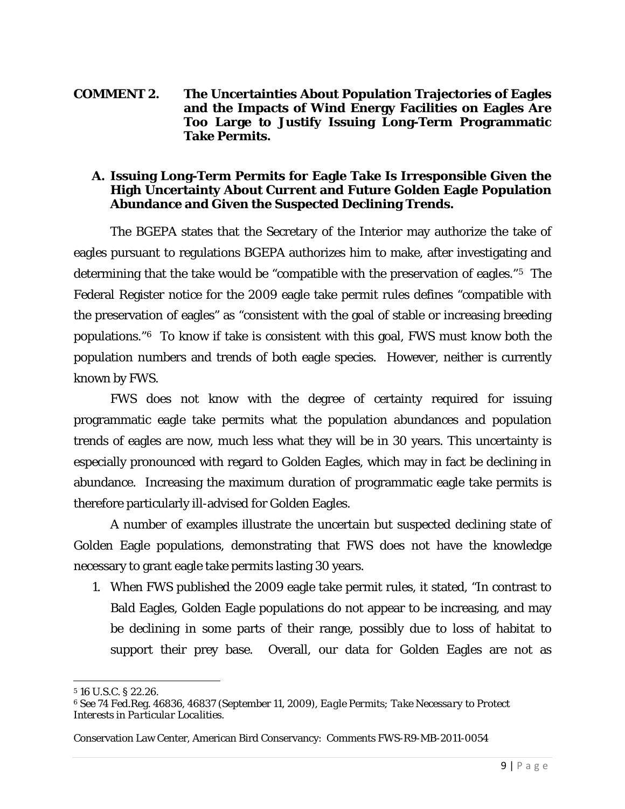#### **COMMENT 2. The Uncertainties About Population Trajectories of Eagles and the Impacts of Wind Energy Facilities on Eagles Are Too Large to Justify Issuing Long-Term Programmatic Take Permits.**

#### **A. Issuing Long-Term Permits for Eagle Take Is Irresponsible Given the High Uncertainty About Current and Future Golden Eagle Population Abundance and Given the Suspected Declining Trends.**

The BGEPA states that the Secretary of the Interior may authorize the take of eagles pursuant to regulations BGEPA authorizes him to make, after investigating and determining that the take would be "compatible with the preservation of eagles."[5](#page-8-0) The Federal Register notice for the 2009 eagle take permit rules defines "compatible with the preservation of eagles" as "consistent with the goal of stable or increasing breeding populations."[6](#page-8-1) To know if take is consistent with this goal, FWS must know both the population numbers and trends of both eagle species. However, neither is currently known by FWS.

FWS does not know with the degree of certainty required for issuing programmatic eagle take permits what the population abundances and population trends of eagles are now, much less what they will be in 30 years. This uncertainty is especially pronounced with regard to Golden Eagles, which may in fact be declining in abundance. Increasing the maximum duration of programmatic eagle take permits is therefore particularly ill-advised for Golden Eagles.

A number of examples illustrate the uncertain but suspected declining state of Golden Eagle populations, demonstrating that FWS does not have the knowledge necessary to grant eagle take permits lasting 30 years.

1. When FWS published the 2009 eagle take permit rules, it stated, "In contrast to Bald Eagles, Golden Eagle populations do not appear to be increasing, and may be declining in some parts of their range, possibly due to loss of habitat to support their prey base. Overall, our data for Golden Eagles are not as

l

<span id="page-8-0"></span><sup>5</sup> 16 U.S.C. § 22.26.

<span id="page-8-1"></span><sup>6</sup> *See* 74 Fed.Reg. 46836, 46837 (September 11, 2009), *Eagle Permits; Take Necessary to Protect Interests in Particular Localities*.

Conservation Law Center, American Bird Conservancy: Comments FWS-R9-MB-2011-0054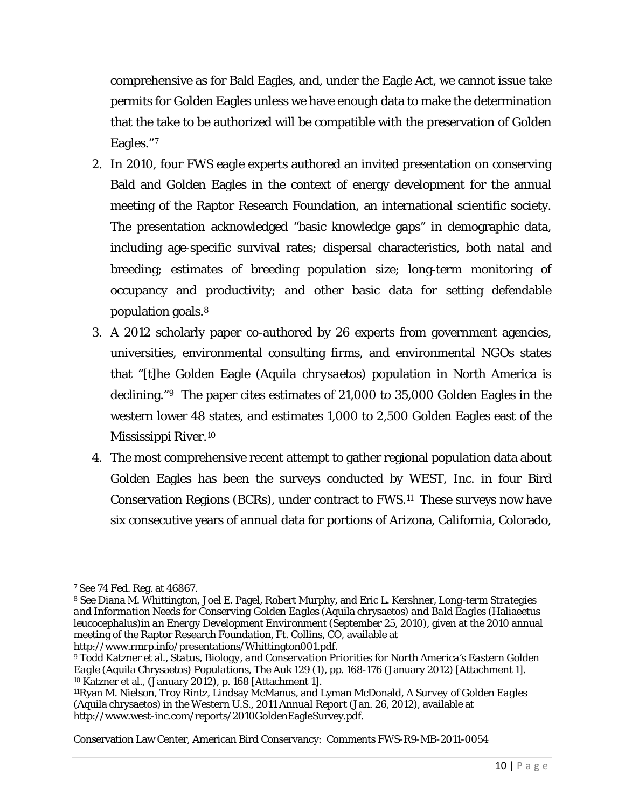comprehensive as for Bald Eagles, and, under the Eagle Act, we cannot issue take permits for Golden Eagles unless we have enough data to make the determination that the take to be authorized will be compatible with the preservation of Golden Eagles."[7](#page-9-0)

- 2. In 2010, four FWS eagle experts authored an invited presentation on conserving Bald and Golden Eagles in the context of energy development for the annual meeting of the Raptor Research Foundation, an international scientific society. The presentation acknowledged "basic knowledge gaps" in demographic data, including age‐specific survival rates; dispersal characteristics, both natal and breeding; estimates of breeding population size; long‐term monitoring of occupancy and productivity; and other basic data for setting defendable population goals.[8](#page-9-1)
- 3. A 2012 scholarly paper co-authored by 26 experts from government agencies, universities, environmental consulting firms, and environmental NGOs states that "[t]he Golden Eagle (*Aquila chrysaetos*) population in North America is declining."[9](#page-9-2) The paper cites estimates of 21,000 to 35,000 Golden Eagles in the western lower 48 states, and estimates 1,000 to 2,500 Golden Eagles east of the Mississippi River.[10](#page-9-3)
- 4. The most comprehensive recent attempt to gather regional population data about Golden Eagles has been the surveys conducted by WEST, Inc. in four Bird Conservation Regions (BCRs), under contract to FWS.[11](#page-9-4) These surveys now have six consecutive years of annual data for portions of Arizona, California, Colorado,

l <sup>7</sup> See 74 Fed. Reg. at 46867.

<span id="page-9-1"></span><span id="page-9-0"></span><sup>8</sup> See Diana M. Whittington, Joel E. Pagel, Robert Murphy, and Eric L. Kershner, *Long*‐*term Strategies and Information Needs for Conserving Golden Eagles (*Aquila chrysaetos*) and Bald Eagles (*Haliaeetus leucocephalus*)in an Energy Development Environment* (September 25, 2010), given at the 2010 annual meeting of the Raptor Research Foundation, Ft. Collins, CO, available at [http://www.rmrp.info/presentations/Whittington001.pdf.](http://www.rmrp.info/presentations/Whittington001.pdf)

<span id="page-9-2"></span><sup>9</sup> Todd Katzner et al., *Status, Biology, and Conservation Priorities for North America's Eastern Golden Eagle (*Aquila Chrysaetos*) Populations,* The Auk 129 (1), pp. 168-176 (January 2012) [Attachment 1]. <sup>10</sup> Katzner et al., (January 2012), p. 168 [Attachment 1].

<span id="page-9-4"></span><span id="page-9-3"></span><sup>11</sup>Ryan M. Nielson, Troy Rintz, Lindsay McManus, and Lyman McDonald, *A Survey of Golden Eagles (*Aquila chrysaetos*) in the Western U.S*., *2011 Annual Report* (Jan. 26, 2012), available at http://www.west-inc.com/reports/2010GoldenEagleSurvey.pdf.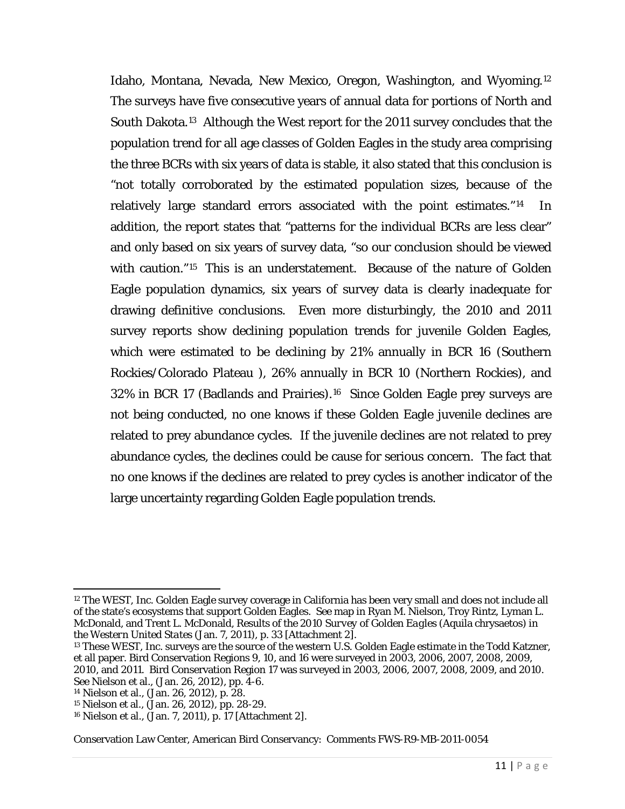Idaho, Montana, Nevada, New Mexico, Oregon, Washington, and Wyoming.[12](#page-10-0) The surveys have five consecutive years of annual data for portions of North and South Dakota.[13](#page-10-1) Although the West report for the 2011 survey concludes that the population trend for all age classes of Golden Eagles in the study area comprising the three BCRs with six years of data is stable, it also stated that this conclusion is "not totally corroborated by the estimated population sizes, because of the relatively large standard errors associated with the point estimates."[14](#page-10-2) In addition, the report states that "patterns for the individual BCRs are less clear" and only based on six years of survey data, "so our conclusion should be viewed with caution."<sup>15</sup> This is an understatement. Because of the nature of Golden Eagle population dynamics, six years of survey data is clearly inadequate for drawing definitive conclusions. Even more disturbingly, the 2010 and 2011 survey reports show declining population trends for juvenile Golden Eagles, which were estimated to be declining by 21% annually in BCR 16 (Southern Rockies/Colorado Plateau ), 26% annually in BCR 10 (Northern Rockies), and 32% in BCR 17 (Badlands and Prairies).[16](#page-10-4) Since Golden Eagle prey surveys are not being conducted, no one knows if these Golden Eagle juvenile declines are related to prey abundance cycles. If the juvenile declines are not related to prey abundance cycles, the declines could be cause for serious concern. The fact that no one knows if the declines are related to prey cycles is another indicator of the large uncertainty regarding Golden Eagle population trends.

<span id="page-10-0"></span> $\overline{\phantom{a}}$ <sup>12</sup> The WEST, Inc. Golden Eagle survey coverage in California has been very small and does not include all of the state's ecosystems that support Golden Eagles. See map in Ryan M. Nielson, Troy Rintz, Lyman L. McDonald, and Trent L. McDonald, *Results of the 2010 Survey of Golden Eagles (*Aquila chrysaetos*) in the Western United States* (Jan. 7, 2011), p. 33 [Attachment 2].

<span id="page-10-1"></span><sup>&</sup>lt;sup>13</sup> These WEST, Inc. surveys are the source of the western U.S. Golden Eagle estimate in the Todd Katzner, et all paper. Bird Conservation Regions 9, 10, and 16 were surveyed in 2003, 2006, 2007, 2008, 2009, 2010, and 2011. Bird Conservation Region 17 was surveyed in 2003, 2006, 2007, 2008, 2009, and 2010. See Nielson et al., (Jan. 26, 2012), pp. 4-6.

<span id="page-10-2"></span><sup>14</sup> Nielson et al., (Jan. 26, 2012), p. 28.

<span id="page-10-3"></span><sup>15</sup> Nielson et al., (Jan. 26, 2012), pp. 28-29.

<span id="page-10-4"></span><sup>16</sup> Nielson et al., (Jan. 7, 2011), p. 17 [Attachment 2].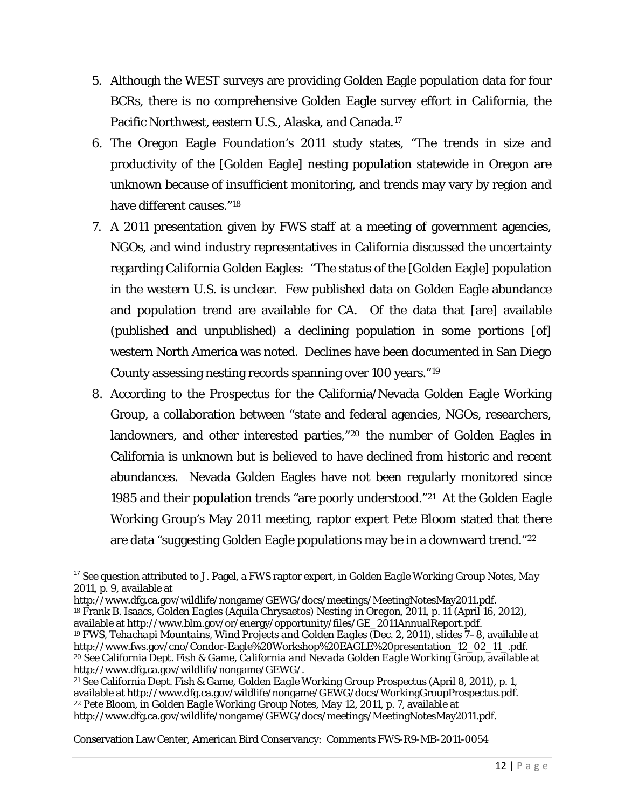- 5. Although the WEST surveys are providing Golden Eagle population data for four BCRs, there is no comprehensive Golden Eagle survey effort in California, the Pacific Northwest, eastern U.S., Alaska, and Canada.[17](#page-11-0)
- 6. The Oregon Eagle Foundation's 2011 study states, "The trends in size and productivity of the [Golden Eagle] nesting population statewide in Oregon are unknown because of insufficient monitoring, and trends may vary by region and have different causes."[18](#page-11-1)
- 7. A 2011 presentation given by FWS staff at a meeting of government agencies, NGOs, and wind industry representatives in California discussed the uncertainty regarding California Golden Eagles: "The status of the [Golden Eagle] population in the western U.S. is unclear. Few published data on Golden Eagle abundance and population trend are available for CA. Of the data that [are] available (published and unpublished) a declining population in some portions [of] western North America was noted. Declines have been documented in San Diego County assessing nesting records spanning over 100 years."[19](#page-11-2)
- 8. According to the Prospectus for the California/Nevada Golden Eagle Working Group, a collaboration between "state and federal agencies, NGOs, researchers, landowners, and other interested parties,"[20](#page-11-3) the number of Golden Eagles in California is unknown but is believed to have declined from historic and recent abundances. Nevada Golden Eagles have not been regularly monitored since 1985 and their population trends "are poorly understood."[21](#page-11-4) At the Golden Eagle Working Group's May 2011 meeting, raptor expert Pete Bloom stated that there are data "suggesting Golden Eagle populations may be in a downward trend."[22](#page-11-5)

<span id="page-11-0"></span> <sup>17</sup> See question attributed to J. Pagel, a FWS raptor expert, in *Golden Eagle Working Group Notes, May 2011*, p. 9, available at

<span id="page-11-1"></span>http://www.dfg.ca.gov/wildlife/nongame/GEWG/docs/meetings/MeetingNotesMay2011.pdf. <sup>18</sup> Frank B. Isaacs, *Golden Eagles (*Aquila Chrysaetos*) Nesting in Oregon, 2011*, p. 11 (April 16, 2012), available at [http://www.blm.gov/or/energy/opportunity/files/GE\\_2011AnnualReport.pdf.](http://www.blm.gov/or/energy/opportunity/files/GE_2011AnnualReport.pdf) <sup>19</sup> FWS, *Tehachapi Mountains, Wind Projects and Golden Eagles* (Dec. 2, 2011), slides 7–8, available at [http://www.fws.gov/cno/Condor-Eagle%20Workshop%20EAGLE%20presentation\\_12\\_02\\_11\\_.pdf.](http://www.fws.gov/cno/Condor-Eagle%20Workshop%20EAGLE%20presentation_12_02_11_.pdf)

<span id="page-11-3"></span><span id="page-11-2"></span><sup>&</sup>lt;sup>20</sup> See California Dept. Fish & Game, *California and Nevada Golden Eagle Working Group*, available at http://www.dfg.ca.gov/wildlife/nongame/GEWG/.

<span id="page-11-5"></span><span id="page-11-4"></span><sup>&</sup>lt;sup>21</sup> See California Dept. Fish & Game, *Golden Eagle Working Group Prospectus* (April 8, 2011), p. 1, available at http://www.dfg.ca.gov/wildlife/nongame/GEWG/docs/Working Group Prospectus.pdf. <sup>22</sup> Pete Bloom, in *Golden Eagle Working Group Notes, May 12, 2011*, p. 7, available at http://www.dfg.ca.gov/wildlife/nongame/GEWG/docs/meetings/MeetingNotesMay2011.pdf.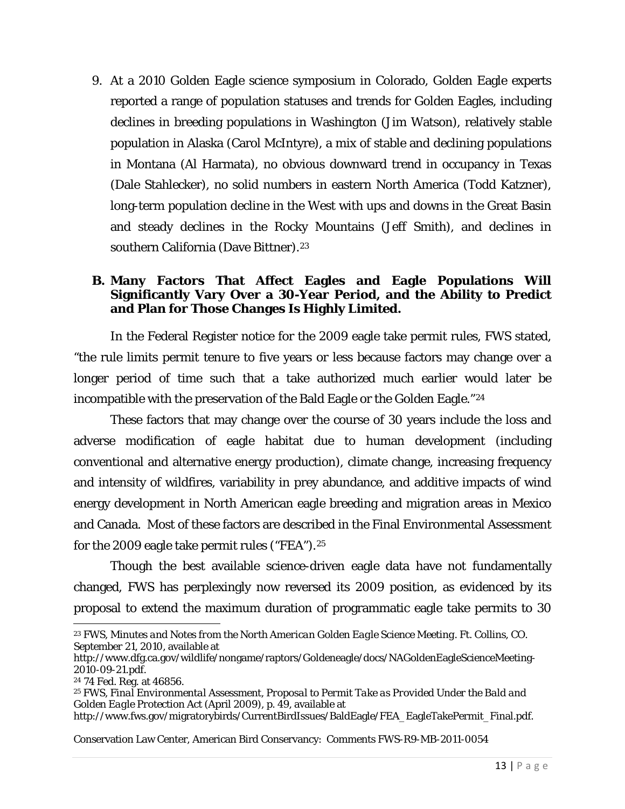9. At a 2010 Golden Eagle science symposium in Colorado, Golden Eagle experts reported a range of population statuses and trends for Golden Eagles, including declines in breeding populations in Washington (Jim Watson), relatively stable population in Alaska (Carol McIntyre), a mix of stable and declining populations in Montana (Al Harmata), no obvious downward trend in occupancy in Texas (Dale Stahlecker), no solid numbers in eastern North America (Todd Katzner), long-term population decline in the West with ups and downs in the Great Basin and steady declines in the Rocky Mountains (Jeff Smith), and declines in southern California (Dave Bittner).<sup>[23](#page-12-0)</sup>

### **B. Many Factors That Affect Eagles and Eagle Populations Will Significantly Vary Over a 30-Year Period, and the Ability to Predict and Plan for Those Changes Is Highly Limited.**

In the Federal Register notice for the 2009 eagle take permit rules, FWS stated, "the rule limits permit tenure to five years or less because factors may change over a longer period of time such that a take authorized much earlier would later be incompatible with the preservation of the Bald Eagle or the Golden Eagle."[24](#page-12-1)

These factors that may change over the course of 30 years include the loss and adverse modification of eagle habitat due to human development (including conventional and alternative energy production), climate change, increasing frequency and intensity of wildfires, variability in prey abundance, and additive impacts of wind energy development in North American eagle breeding and migration areas in Mexico and Canada. Most of these factors are described in the Final Environmental Assessment for the 2009 eagle take permit rules ("FEA").[25](#page-12-2)

Though the best available science-driven eagle data have not fundamentally changed, FWS has perplexingly now reversed its 2009 position, as evidenced by its proposal to extend the maximum duration of programmatic eagle take permits to 30

<span id="page-12-0"></span> $\overline{\phantom{a}}$ <sup>23</sup> FWS, *Minutes and Notes from the North American Golden Eagle Science Meeting. Ft. Collins, CO. September 21, 2010*, available at

[http://www.dfg.ca.gov/wildlife/nongame/raptors/Goldeneagle/docs/NAGoldenEagleScienceMeeting-](http://www.dfg.ca.gov/wildlife/nongame/raptors/goldeneagle/docs/NAGoldenEagleScienceMeeting-2010-09-21.pdf)

<span id="page-12-1"></span><sup>&</sup>lt;sup>24</sup> 74 Fed. Reg. at 46856.

<span id="page-12-2"></span><sup>25</sup> FWS, *Final Environmental Assessment, Proposal to Permit Take as Provided Under the Bald and Golden Eagle Protection Act* (April 2009), p. 49, available at [http://www.fws.gov/migratorybirds/CurrentBirdIssues/BaldEagle/FEA\\_EagleTakePermit\\_Final.pdf.](http://www.fws.gov/migratorybirds/CurrentBirdIssues/BaldEagle/FEA_EagleTakePermit_Final.pdf)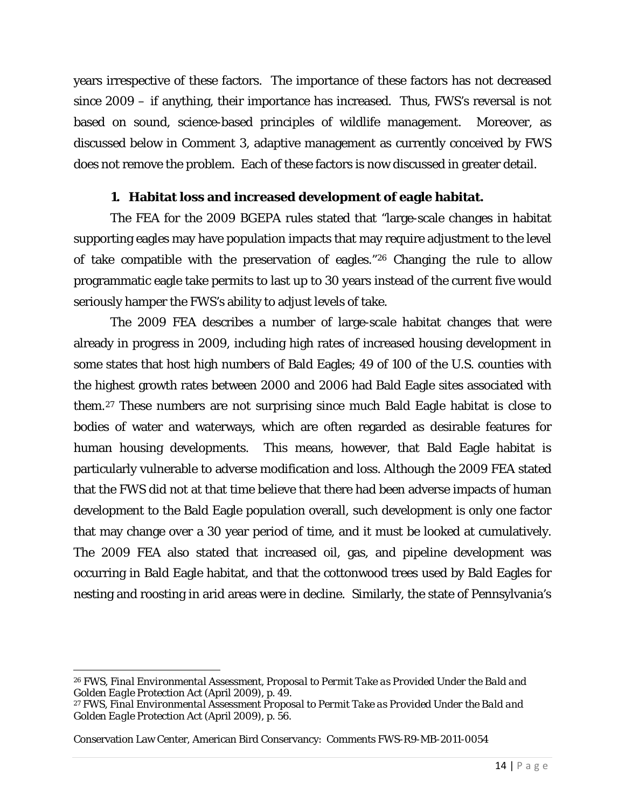years irrespective of these factors. The importance of these factors has not decreased since 2009 – if anything, their importance has increased. Thus, FWS's reversal is not based on sound, science-based principles of wildlife management. Moreover, as discussed below in Comment 3, adaptive management as currently conceived by FWS does not remove the problem. Each of these factors is now discussed in greater detail.

### **1. Habitat loss and increased development of eagle habitat.**

The FEA for the 2009 BGEPA rules stated that "large-scale changes in habitat supporting eagles may have population impacts that may require adjustment to the level of take compatible with the preservation of eagles."[26](#page-13-0) Changing the rule to allow programmatic eagle take permits to last up to 30 years instead of the current five would seriously hamper the FWS's ability to adjust levels of take.

The 2009 FEA describes a number of large-scale habitat changes that were already in progress in 2009, including high rates of increased housing development in some states that host high numbers of Bald Eagles; 49 of 100 of the U.S. counties with the highest growth rates between 2000 and 2006 had Bald Eagle sites associated with them.[27](#page-13-1) These numbers are not surprising since much Bald Eagle habitat is close to bodies of water and waterways, which are often regarded as desirable features for human housing developments. This means, however, that Bald Eagle habitat is particularly vulnerable to adverse modification and loss. Although the 2009 FEA stated that the FWS did not at that time believe that there had been adverse impacts of human development to the Bald Eagle population overall, such development is only one factor that may change over a 30 year period of time, and it must be looked at cumulatively. The 2009 FEA also stated that increased oil, gas, and pipeline development was occurring in Bald Eagle habitat, and that the cottonwood trees used by Bald Eagles for nesting and roosting in arid areas were in decline. Similarly, the state of Pennsylvania's

 $\overline{\phantom{a}}$ 

<span id="page-13-0"></span><sup>26</sup> FWS, *Final Environmental Assessment, Proposal to Permit Take as Provided Under the Bald and Golden Eagle Protection Act* (April 2009), p. 49.

<span id="page-13-1"></span><sup>27</sup> FWS, *Final Environmental Assessment Proposal to Permit Take as Provided Under the Bald and Golden Eagle Protection Act* (April 2009), p. 56.

Conservation Law Center, American Bird Conservancy: Comments FWS-R9-MB-2011-0054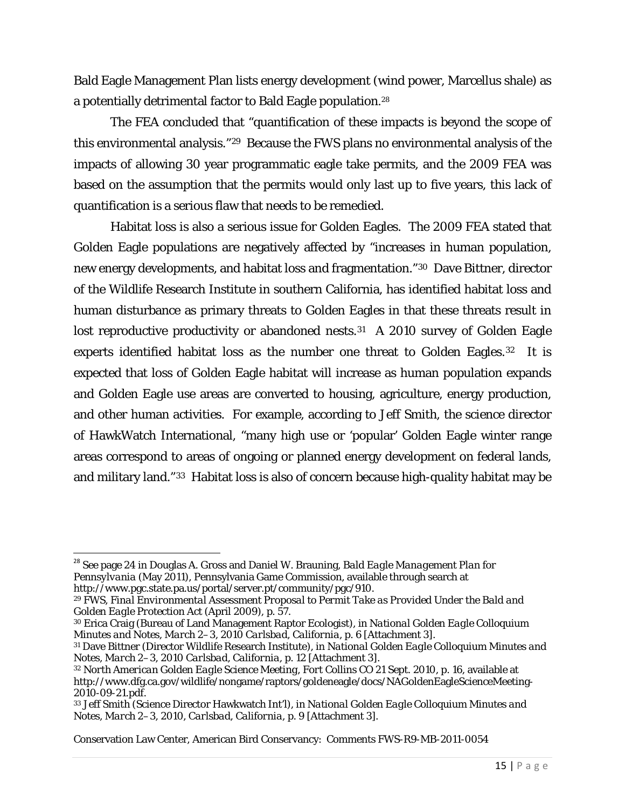Bald Eagle Management Plan lists energy development (wind power, Marcellus shale) as a potentially detrimental factor to Bald Eagle population.[28](#page-14-0)

The FEA concluded that "quantification of these impacts is beyond the scope of this environmental analysis."[29](#page-14-1) Because the FWS plans no environmental analysis of the impacts of allowing 30 year programmatic eagle take permits, and the 2009 FEA was based on the assumption that the permits would only last up to five years, this lack of quantification is a serious flaw that needs to be remedied.

Habitat loss is also a serious issue for Golden Eagles. The 2009 FEA stated that Golden Eagle populations are negatively affected by "increases in human population, new energy developments, and habitat loss and fragmentation."[30](#page-14-2) Dave Bittner, director of the Wildlife Research Institute in southern California, has identified habitat loss and human disturbance as primary threats to Golden Eagles in that these threats result in lost reproductive productivity or abandoned nests.<sup>[31](#page-14-3)</sup> A 2010 survey of Golden Eagle experts identified habitat loss as the number one threat to Golden Eagles.<sup>[32](#page-14-4)</sup> It is expected that loss of Golden Eagle habitat will increase as human population expands and Golden Eagle use areas are converted to housing, agriculture, energy production, and other human activities. For example, according to Jeff Smith, the science director of HawkWatch International, "many high use or 'popular' Golden Eagle winter range areas correspond to areas of ongoing or planned energy development on federal lands, and military land."[33](#page-14-5) Habitat loss is also of concern because high-quality habitat may be

<span id="page-14-0"></span> <sup>28</sup> See page 24 in Douglas A. Gross and Daniel W. Brauning, *Bald Eagle Management Plan for Pennsylvania* (May 2011), Pennsylvania Game Commission, available through search at [http://www.pgc.state.pa.us/portal/server.pt/community/pgc/910.](http://www.pgc.state.pa.us/portal/server.pt/community/pgc/910)

<span id="page-14-1"></span><sup>29</sup> FWS, *Final Environmental Assessment Proposal to Permit Take as Provided Under the Bald and Golden Eagle Protection Act* (April 2009), p. 57.

<span id="page-14-2"></span><sup>30</sup> Erica Craig (Bureau of Land Management Raptor Ecologist), in *National Golden Eagle Colloquium* 

<span id="page-14-3"></span><sup>&</sup>lt;sup>31</sup> Dave Bittner (Director Wildlife Research Institute), in *National Golden Eagle Colloquium Minutes and Notes, March 2–3, 2010 Carlsbad, California*, p. 12 [Attachment 3].

<span id="page-14-4"></span><sup>32</sup> *North American Golden Eagle Science Meeting, Fort Collins CO 21 Sept. 2010*, p. 16, available at [http://www.dfg.ca.gov/wildlife/nongame/raptors/goldeneagle/docs/NAGoldenEagleScienceMeeting-](http://www.dfg.ca.gov/wildlife/nongame/raptors/goldeneagle/docs/NAGoldenEagleScienceMeeting-2010-09-21.pdf)[2010-09-21.pdf.](http://www.dfg.ca.gov/wildlife/nongame/raptors/goldeneagle/docs/NAGoldenEagleScienceMeeting-2010-09-21.pdf)

<span id="page-14-5"></span><sup>33</sup> Jeff Smith (Science Director Hawkwatch Int'l), in *National Golden Eagle Colloquium Minutes and Notes, March 2–3, 2010, Carlsbad, California*, p. 9 [Attachment 3].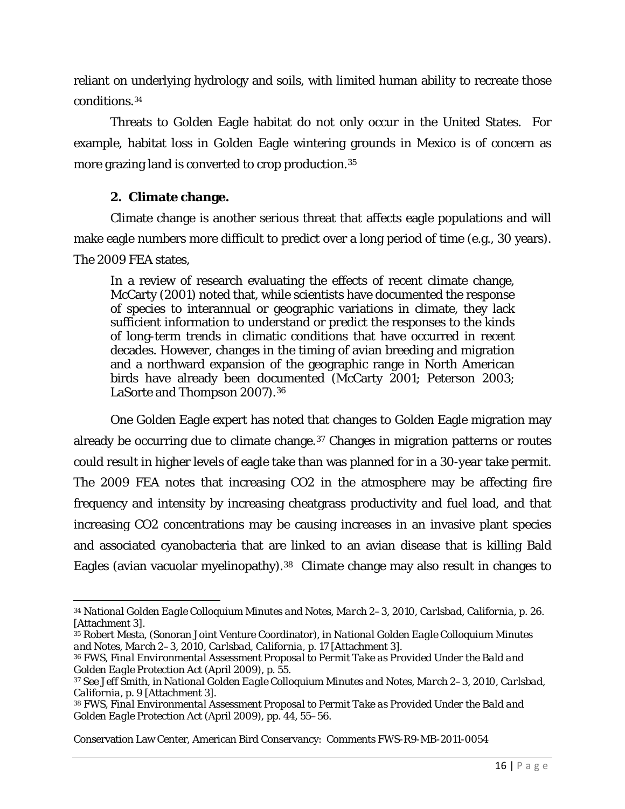reliant on underlying hydrology and soils, with limited human ability to recreate those conditions.[34](#page-15-0)

Threats to Golden Eagle habitat do not only occur in the United States. For example, habitat loss in Golden Eagle wintering grounds in Mexico is of concern as more grazing land is converted to crop production.[35](#page-15-1)

### **2. Climate change.**

Climate change is another serious threat that affects eagle populations and will make eagle numbers more difficult to predict over a long period of time (e.g., 30 years). The 2009 FEA states,

In a review of research evaluating the effects of recent climate change, McCarty (2001) noted that, while scientists have documented the response of species to interannual or geographic variations in climate, they lack sufficient information to understand or predict the responses to the kinds of long-term trends in climatic conditions that have occurred in recent decades. However, changes in the timing of avian breeding and migration and a northward expansion of the geographic range in North American birds have already been documented (McCarty 2001; Peterson 2003; LaSorte and Thompson 2007).[36](#page-15-2)

One Golden Eagle expert has noted that changes to Golden Eagle migration may already be occurring due to climate change.<sup>[37](#page-15-3)</sup> Changes in migration patterns or routes could result in higher levels of eagle take than was planned for in a 30-year take permit. The 2009 FEA notes that increasing CO2 in the atmosphere may be affecting fire frequency and intensity by increasing cheatgrass productivity and fuel load, and that increasing CO2 concentrations may be causing increases in an invasive plant species and associated cyanobacteria that are linked to an avian disease that is killing Bald Eagles (avian vacuolar myelinopathy).[38](#page-15-4) Climate change may also result in changes to

<span id="page-15-0"></span>l <sup>34</sup> *National Golden Eagle Colloquium Minutes and Notes, March 2–3, 2010, Carlsbad, California*, p. 26. [Attachment 3].

<span id="page-15-1"></span><sup>35</sup> Robert Mesta, (Sonoran Joint Venture Coordinator), in *National Golden Eagle Colloquium Minutes and Notes, March 2–3, 2010, Carlsbad, California*, p. 17 [Attachment 3].

<span id="page-15-2"></span><sup>36</sup> FWS, *Final Environmental Assessment Proposal to Permit Take as Provided Under the Bald and Golden Eagle Protection Act* (April 2009), p. 55.

<span id="page-15-3"></span><sup>37</sup> See Jeff Smith, in *National Golden Eagle Colloquium Minutes and Notes, March 2–3, 2010, Carlsbad, California*, p. 9 [Attachment 3].

<span id="page-15-4"></span><sup>38</sup> FWS, *Final Environmental Assessment Proposal to Permit Take as Provided Under the Bald and Golden Eagle Protection Act* (April 2009), pp. 44, 55–56.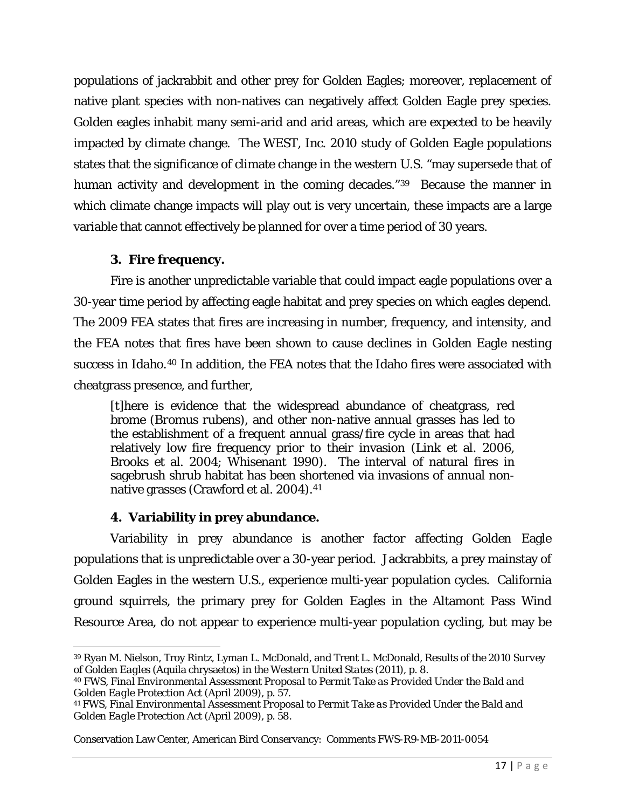populations of jackrabbit and other prey for Golden Eagles; moreover, replacement of native plant species with non-natives can negatively affect Golden Eagle prey species. Golden eagles inhabit many semi-arid and arid areas, which are expected to be heavily impacted by climate change. The WEST, Inc. 2010 study of Golden Eagle populations states that the significance of climate change in the western U.S. "may supersede that of human activity and development in the coming decades."<sup>[39](#page-16-0)</sup> Because the manner in which climate change impacts will play out is very uncertain, these impacts are a large variable that cannot effectively be planned for over a time period of 30 years.

## **3. Fire frequency.**

Fire is another unpredictable variable that could impact eagle populations over a 30-year time period by affecting eagle habitat and prey species on which eagles depend. The 2009 FEA states that fires are increasing in number, frequency, and intensity, and the FEA notes that fires have been shown to cause declines in Golden Eagle nesting success in Idaho.[40](#page-16-1) In addition, the FEA notes that the Idaho fires were associated with cheatgrass presence, and further,

[t]here is evidence that the widespread abundance of cheatgrass, red brome (*Bromus rubens*), and other non-native annual grasses has led to the establishment of a frequent annual grass/fire cycle in areas that had relatively low fire frequency prior to their invasion (Link et al. 2006, Brooks et al. 2004; Whisenant 1990). The interval of natural fires in sagebrush shrub habitat has been shortened via invasions of annual non-native grasses (Crawford et al. 2004).<sup>[41](#page-16-2)</sup>

# **4. Variability in prey abundance.**

Variability in prey abundance is another factor affecting Golden Eagle populations that is unpredictable over a 30-year period. Jackrabbits, a prey mainstay of Golden Eagles in the western U.S., experience multi-year population cycles. California ground squirrels, the primary prey for Golden Eagles in the Altamont Pass Wind Resource Area, do not appear to experience multi-year population cycling, but may be

<span id="page-16-0"></span> $\overline{\phantom{a}}$ <sup>39</sup> Ryan M. Nielson, Troy Rintz, Lyman L. McDonald, and Trent L. McDonald, *Results of the 2010 Survey of Golden Eagles (*Aquila chrysaetos*) in the Western United States* (2011), p. 8.

<span id="page-16-1"></span><sup>40</sup> FWS, *Final Environmental Assessment Proposal to Permit Take as Provided Under the Bald and Golden Eagle Protection Act* (April 2009), p. 57.

<span id="page-16-2"></span><sup>41</sup> FWS, *Final Environmental Assessment Proposal to Permit Take as Provided Under the Bald and Golden Eagle Protection Act* (April 2009), p. 58.

Conservation Law Center, American Bird Conservancy: Comments FWS-R9-MB-2011-0054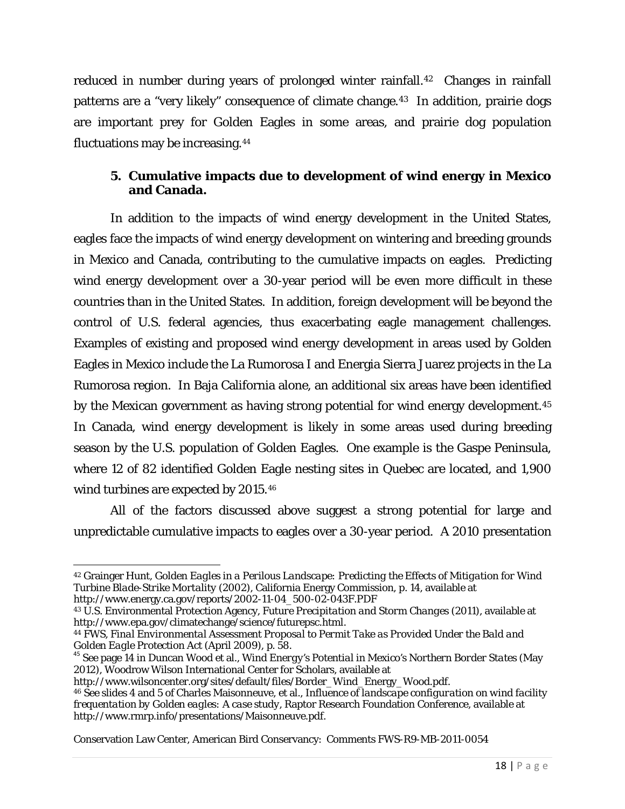reduced in number during years of prolonged winter rainfall.<sup>[42](#page-17-0)</sup> Changes in rainfall patterns are a "very likely" consequence of climate change.[43](#page-17-1) In addition, prairie dogs are important prey for Golden Eagles in some areas, and prairie dog population fluctuations may be increasing.[44](#page-17-2)

## **5. Cumulative impacts due to development of wind energy in Mexico and Canada.**

In addition to the impacts of wind energy development in the United States, eagles face the impacts of wind energy development on wintering and breeding grounds in Mexico and Canada, contributing to the cumulative impacts on eagles. Predicting wind energy development over a 30-year period will be even more difficult in these countries than in the United States. In addition, foreign development will be beyond the control of U.S. federal agencies, thus exacerbating eagle management challenges. Examples of existing and proposed wind energy development in areas used by Golden Eagles in Mexico include the La Rumorosa I and Energia Sierra Juarez projects in the La Rumorosa region. In Baja California alone, an additional six areas have been identified by the Mexican government as having strong potential for wind energy development.[45](#page-17-3) In Canada, wind energy development is likely in some areas used during breeding season by the U.S. population of Golden Eagles. One example is the Gaspe Peninsula, where 12 of 82 identified Golden Eagle nesting sites in Quebec are located, and 1,900 wind turbines are expected by 2015.[46](#page-17-4)

All of the factors discussed above suggest a strong potential for large and unpredictable cumulative impacts to eagles over a 30-year period. A 2010 presentation

l

<span id="page-17-0"></span><sup>42</sup> Grainger Hunt, *Golden Eagles in a Perilous Landscape: Predicting the Effects of Mitigation for Wind Turbine Blade-Strike Mortality* (2002), California Energy Commission, p. 14, available at [http://www.energy.ca.gov/reports/2002-11-04\\_500-02-043F.PDF](http://www.energy.ca.gov/reports/2002-11-04_500-02-043F.PDF)

<span id="page-17-1"></span><sup>43</sup> U.S. Environmental Protection Agency, *Future Precipitation and Storm Changes* (2011), available at

<span id="page-17-2"></span><sup>&</sup>lt;sup>44</sup> FWS, *Final Environmental Assessment Proposal to Permit Take as Provided Under the Bald and Golden Eagle Protection Act (April 2009), p. 58.* 

<span id="page-17-3"></span>*Golden Eagle Protection Act* (April 2009), p. 58. <sup>45</sup> See page 14 in Duncan Wood et al., *Wind Energy's Potential in Mexico's Northern Border States* (May 2012), Woodrow Wilson International Center for Scholars, available at http://www.wilsoncenter.org/sites/default/files/Border\_Wind\_Energy\_Wood.pdf.

<span id="page-17-4"></span><sup>&</sup>lt;sup>46</sup> See slides 4 and 5 of Charles Maisonneuve, et al., *Influence of landscape configuration on wind facility frequentation by Golden eagles: A case study*, Raptor Research Foundation Conference, available at [http://www.rmrp.info/presentations/Maisonneuve.pdf.](http://www.rmrp.info/presentations/Maisonneuve.pdf)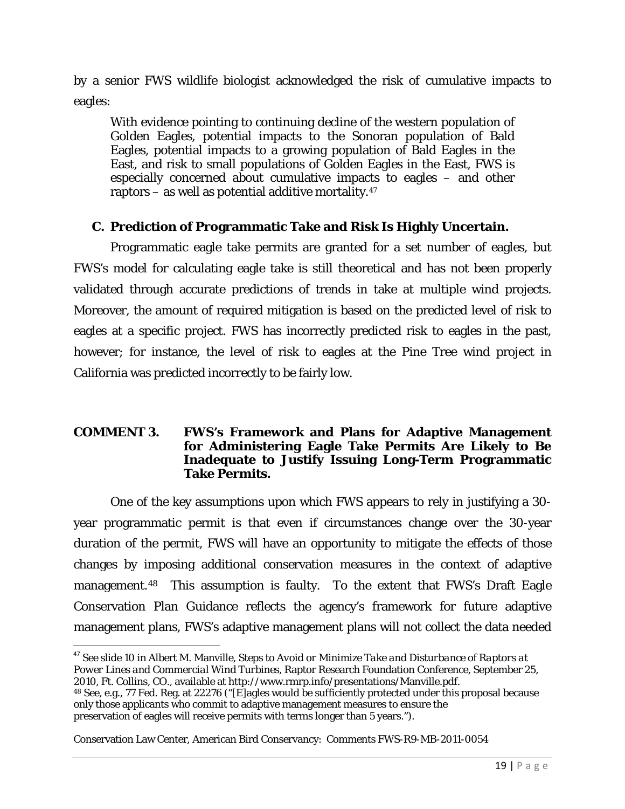by a senior FWS wildlife biologist acknowledged the risk of cumulative impacts to eagles:

With evidence pointing to continuing decline of the western population of Golden Eagles, potential impacts to the Sonoran population of Bald Eagles, potential impacts to a growing population of Bald Eagles in the East, and risk to small populations of Golden Eagles in the East, FWS is especially concerned about cumulative impacts to eagles – and other raptors – as well as potential additive mortality. $47$ 

### **C. Prediction of Programmatic Take and Risk Is Highly Uncertain.**

Programmatic eagle take permits are granted for a set number of eagles, but FWS's model for calculating eagle take is still theoretical and has not been properly validated through accurate predictions of trends in take at multiple wind projects. Moreover, the amount of required mitigation is based on the predicted level of risk to eagles at a specific project. FWS has incorrectly predicted risk to eagles in the past, however; for instance, the level of risk to eagles at the Pine Tree wind project in California was predicted incorrectly to be fairly low.

#### **COMMENT 3. FWS's Framework and Plans for Adaptive Management for Administering Eagle Take Permits Are Likely to Be Inadequate to Justify Issuing Long-Term Programmatic Take Permits.**

One of the key assumptions upon which FWS appears to rely in justifying a 30 year programmatic permit is that even if circumstances change over the 30-year duration of the permit, FWS will have an opportunity to mitigate the effects of those changes by imposing additional conservation measures in the context of adaptive management.<sup>[48](#page-18-1)</sup> This assumption is faulty. To the extent that FWS's Draft Eagle Conservation Plan Guidance reflects the agency's framework for future adaptive management plans, FWS's adaptive management plans will not collect the data needed

<span id="page-18-1"></span>48 See, e.g., 77 Fed. Reg. at 22276 ("[E]agles would be sufficiently protected under this proposal because only those applicants who commit to adaptive management measures to ensure the preservation of eagles will receive permits with terms longer than 5 years.").

<span id="page-18-0"></span> <sup>47</sup> See slide 10 in Albert M. Manville, *Steps to Avoid or Minimize Take and Disturbance of Raptors at Power Lines and Commercial Wind Turbines*, Raptor Research Foundation Conference, September 25, 2010, Ft. Collins, CO., available at [http://www.rmrp.info/presentations/Manville.pdf.](http://www.rmrp.info/presentations/Manville.pdf)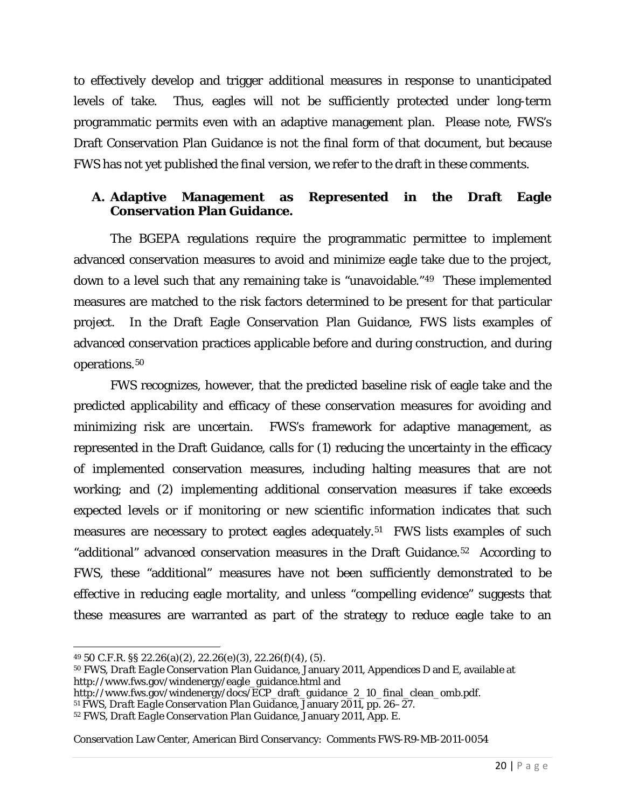to effectively develop and trigger additional measures in response to unanticipated levels of take. Thus, eagles will not be sufficiently protected under long-term programmatic permits even with an adaptive management plan. Please note, FWS's Draft Conservation Plan Guidance is not the final form of that document, but because FWS has not yet published the final version, we refer to the draft in these comments.

### **A. Adaptive Management as Represented in the Draft Eagle Conservation Plan Guidance.**

The BGEPA regulations require the programmatic permittee to implement advanced conservation measures to avoid and minimize eagle take due to the project, down to a level such that any remaining take is "unavoidable."[49](#page-19-0) These implemented measures are matched to the risk factors determined to be present for that particular project. In the Draft Eagle Conservation Plan Guidance, FWS lists examples of advanced conservation practices applicable before and during construction, and during operations.[50](#page-19-1)

FWS recognizes, however, that the predicted baseline risk of eagle take and the predicted applicability and efficacy of these conservation measures for avoiding and minimizing risk are uncertain. FWS's framework for adaptive management, as represented in the Draft Guidance, calls for (1) reducing the uncertainty in the efficacy of implemented conservation measures, including halting measures that are not working; and (2) implementing additional conservation measures if take exceeds expected levels or if monitoring or new scientific information indicates that such measures are necessary to protect eagles adequately.<sup>[51](#page-19-2)</sup> FWS lists examples of such "additional" advanced conservation measures in the Draft Guidance.[52](#page-19-3) According to FWS, these "additional" measures have not been sufficiently demonstrated to be effective in reducing eagle mortality, and unless "compelling evidence" suggests that these measures are warranted as part of the strategy to reduce eagle take to an

 $\overline{\phantom{a}}$ 

<span id="page-19-0"></span><sup>49</sup> 50 C.F.R. §§ 22.26(a)(2), 22.26(e)(3), 22.26(f)(4), (5).

<span id="page-19-1"></span><sup>50</sup> FWS, *Draft Eagle Conservation Plan Guidance*, January 2011, Appendices D and E, available at http://www.fws.gov/windenergy/eagle\_guidance.html and

http://www.fws.gov/windenergy/docs/ECP\_draft\_guidance\_2\_10\_final\_clean\_omb.pdf.

<span id="page-19-2"></span><sup>51</sup> FWS, *Draft Eagle Conservation Plan Guidance*, January 2011, pp. 26–27.

<span id="page-19-3"></span><sup>52</sup> FWS, *Draft Eagle Conservation Plan Guidance*, January 2011, App. E.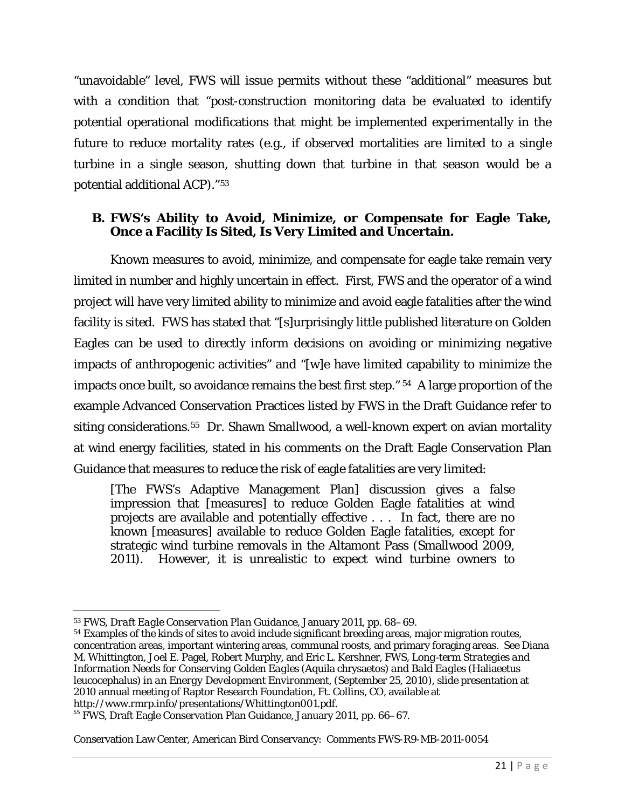"unavoidable" level, FWS will issue permits without these "additional" measures but with a condition that "post-construction monitoring data be evaluated to identify potential operational modifications that might be implemented experimentally in the future to reduce mortality rates (e.g., if observed mortalities are limited to a single turbine in a single season, shutting down that turbine in that season would be a potential additional ACP)."[53](#page-20-0)

### **B. FWS's Ability to Avoid, Minimize, or Compensate for Eagle Take, Once a Facility Is Sited, Is Very Limited and Uncertain.**

Known measures to avoid, minimize, and compensate for eagle take remain very limited in number and highly uncertain in effect. First, FWS and the operator of a wind project will have very limited ability to minimize and avoid eagle fatalities after the wind facility is sited. FWS has stated that "[s]urprisingly little published literature on Golden Eagles can be used to directly inform decisions on avoiding or minimizing negative impacts of anthropogenic activities" and "[w]e have limited capability to minimize the impacts once built, so avoidance remains the best first step." [54](#page-20-1) A large proportion of the example Advanced Conservation Practices listed by FWS in the Draft Guidance refer to siting considerations.<sup>[55](#page-20-2)</sup> Dr. Shawn Smallwood, a well-known expert on avian mortality at wind energy facilities, stated in his comments on the Draft Eagle Conservation Plan Guidance that measures to reduce the risk of eagle fatalities are very limited:

[The FWS's Adaptive Management Plan] discussion gives a false impression that [measures] to reduce Golden Eagle fatalities at wind projects are available and potentially effective . . . In fact, there are no known [measures] available to reduce Golden Eagle fatalities, except for strategic wind turbine removals in the Altamont Pass (Smallwood 2009, 2011). However, it is unrealistic to expect wind turbine owners to

<span id="page-20-0"></span>l <sup>53</sup> FWS, *Draft Eagle Conservation Plan Guidance*, January 2011, pp. 68–69.

<span id="page-20-1"></span><sup>54</sup> Examples of the kinds of sites to avoid include significant breeding areas, major migration routes, concentration areas, important wintering areas, communal roosts, and primary foraging areas. See Diana M. Whittington, Joel E. Pagel, Robert Murphy, and Eric L. Kershner, FWS, *Long*‐*term Strategies and Information Needs for Conserving Golden Eagles (*Aquila chrysaetos*) and Bald Eagles* (Haliaeetus leucocephalus*) in an Energy Development Environment*, (September 25, 2010), slide presentation at 2010 annual meeting of Raptor Research Foundation, Ft. Collins, CO, available at http://www.rmrp.info/presentations/Whittington001.pdf.

<span id="page-20-2"></span><sup>&</sup>lt;sup>55</sup> FWS, Draft Eagle Conservation Plan Guidance, January 2011, pp. 66–67.

Conservation Law Center, American Bird Conservancy: Comments FWS-R9-MB-2011-0054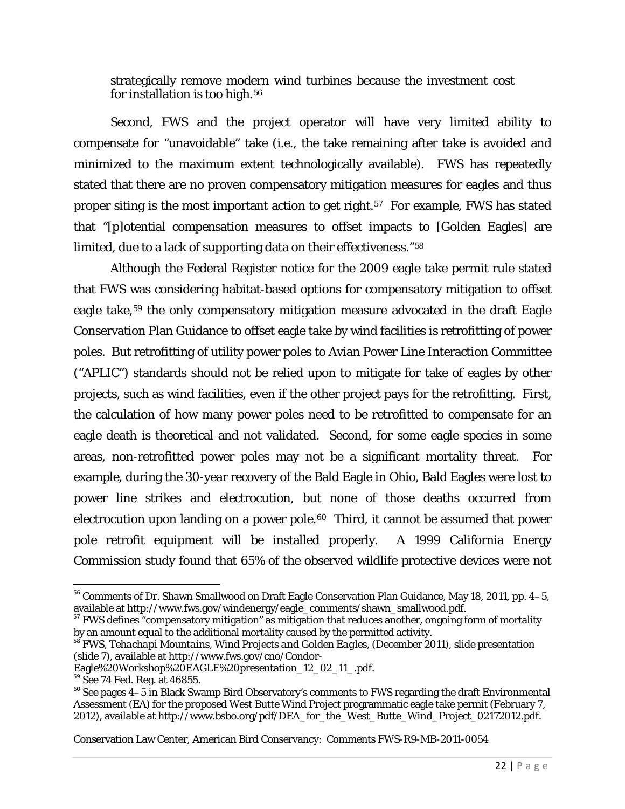strategically remove modern wind turbines because the investment cost for installation is too high.<sup>[56](#page-21-0)</sup>

Second, FWS and the project operator will have very limited ability to compensate for "unavoidable" take (i.e., the take remaining after take is avoided and minimized to the maximum extent technologically available). FWS has repeatedly stated that there are no proven compensatory mitigation measures for eagles and thus proper siting is the most important action to get right.<sup>57</sup> For example, FWS has stated that "[p]otential compensation measures to offset impacts to [Golden Eagles] are limited, due to a lack of supporting data on their effectiveness."[58](#page-21-2)

Although the Federal Register notice for the 2009 eagle take permit rule stated that FWS was considering habitat-based options for compensatory mitigation to offset eagle take,<sup>[59](#page-21-3)</sup> the only compensatory mitigation measure advocated in the draft Eagle Conservation Plan Guidance to offset eagle take by wind facilities is retrofitting of power poles. But retrofitting of utility power poles to Avian Power Line Interaction Committee ("APLIC") standards should not be relied upon to mitigate for take of eagles by other projects, such as wind facilities, even if the other project pays for the retrofitting. First, the calculation of how many power poles need to be retrofitted to compensate for an eagle death is theoretical and not validated. Second, for some eagle species in some areas, non-retrofitted power poles may not be a significant mortality threat. For example, during the 30-year recovery of the Bald Eagle in Ohio, Bald Eagles were lost to power line strikes and electrocution, but none of those deaths occurred from electrocution upon landing on a power pole.<sup>60</sup> Third, it cannot be assumed that power pole retrofit equipment will be installed properly. A 1999 California Energy Commission study found that 65% of the observed wildlife protective devices were not

<span id="page-21-0"></span><sup>&</sup>lt;sup>56</sup> Comments of Dr. Shawn Smallwood on Draft Eagle Conservation Plan Guidance, May 18, 2011, pp. 4–5, available at http://www.fws.gov/windenergy/eagle\_comments/shawn\_smallwood.pdf.

<span id="page-21-1"></span> $57$  FWS defines "compensatory mitigation" as mitigation that reduces another, ongoing form of mortality by an amount equal to the additional mortality caused by the permitted activity.

<span id="page-21-2"></span><sup>&</sup>lt;sup>58</sup> FWS, *Tehachapi Mountains, Wind Projects and Golden Eagles*, (December 2011), slide presentation (slide 7), available at http://www.fws.gov/cno/Condor-<br>Eagle%20Workshop%20EAGLE%20presentation\_12\_02\_11\_.pdf.

<span id="page-21-4"></span><span id="page-21-3"></span><sup>&</sup>lt;sup>59</sup> See 74 Fed. Reg. at 46855. **60 Peace 2022**<br><sup>60</sup> See pages 4–5 in Black Swamp Bird Observatory's comments to FWS regarding the draft Environmental Assessment (EA) for the proposed West Butte Wind Project programmatic eagle take permit (February 7, 2012), available at http://www.bsbo.org/pdf/DEA\_for\_the\_West\_Butte\_Wind\_Project\_02172012.pdf.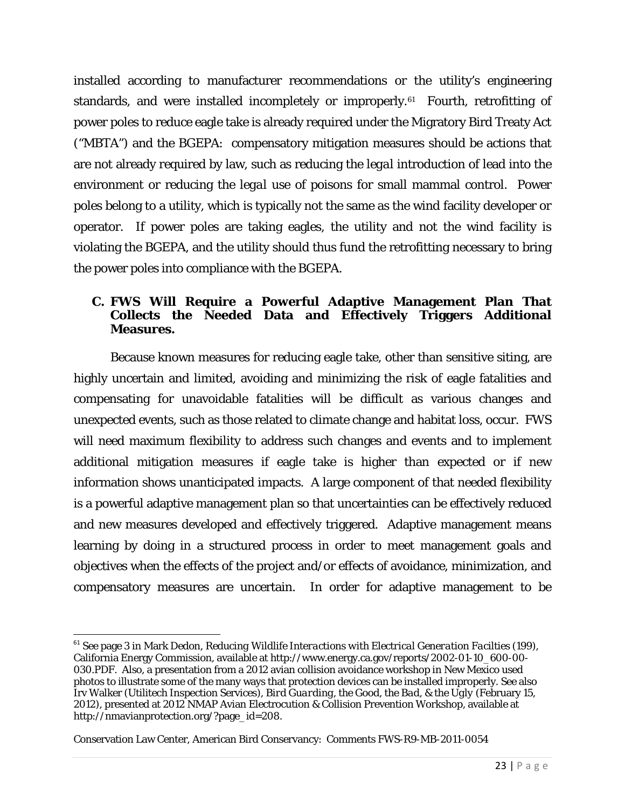installed according to manufacturer recommendations or the utility's engineering standards, and were installed incompletely or improperly.[61](#page-22-0) Fourth, retrofitting of power poles to reduce eagle take is already required under the Migratory Bird Treaty Act ("MBTA") and the BGEPA: compensatory mitigation measures should be actions that are not already required by law, such as reducing the *legal* introduction of lead into the environment or reducing the *legal* use of poisons for small mammal control. Power poles belong to a utility, which is typically not the same as the wind facility developer or operator. If power poles are taking eagles, the utility and not the wind facility is violating the BGEPA, and the utility should thus fund the retrofitting necessary to bring the power poles into compliance with the BGEPA.

### **C. FWS Will Require a Powerful Adaptive Management Plan That Collects the Needed Data and Effectively Triggers Additional Measures.**

Because known measures for reducing eagle take, other than sensitive siting, are highly uncertain and limited, avoiding and minimizing the risk of eagle fatalities and compensating for unavoidable fatalities will be difficult as various changes and unexpected events, such as those related to climate change and habitat loss, occur. FWS will need maximum flexibility to address such changes and events and to implement additional mitigation measures if eagle take is higher than expected or if new information shows unanticipated impacts. A large component of that needed flexibility is a powerful adaptive management plan so that uncertainties can be effectively reduced and new measures developed and effectively triggered. Adaptive management means learning by doing in a structured process in order to meet management goals and objectives when the effects of the project and/or effects of avoidance, minimization, and compensatory measures are uncertain. In order for adaptive management to be

<span id="page-22-0"></span> <sup>61</sup> See page 3 in Mark Dedon, *Reducing Wildlife Interactions with Electrical Generation Facilties* (199), California Energy Commission, available at [http://www.energy.ca.gov/reports/2002-01-10\\_600-00-](http://www.energy.ca.gov/reports/2002-01-10_600-00-030.PDF) [030.PDF.](http://www.energy.ca.gov/reports/2002-01-10_600-00-030.PDF) Also, a presentation from a 2012 avian collision avoidance workshop in New Mexico used photos to illustrate some of the many ways that protection devices can be installed improperly. See also Irv Walker (Utilitech Inspection Services), *Bird Guarding, the Good, the Bad, & the Ugly* (February 15, 2012), presented at 2012 NMAP Avian Electrocution & Collision Prevention Workshop, available at [http://nmavianprotection.org/?page\\_id=208.](http://nmavianprotection.org/?page_id=208)

Conservation Law Center, American Bird Conservancy: Comments FWS-R9-MB-2011-0054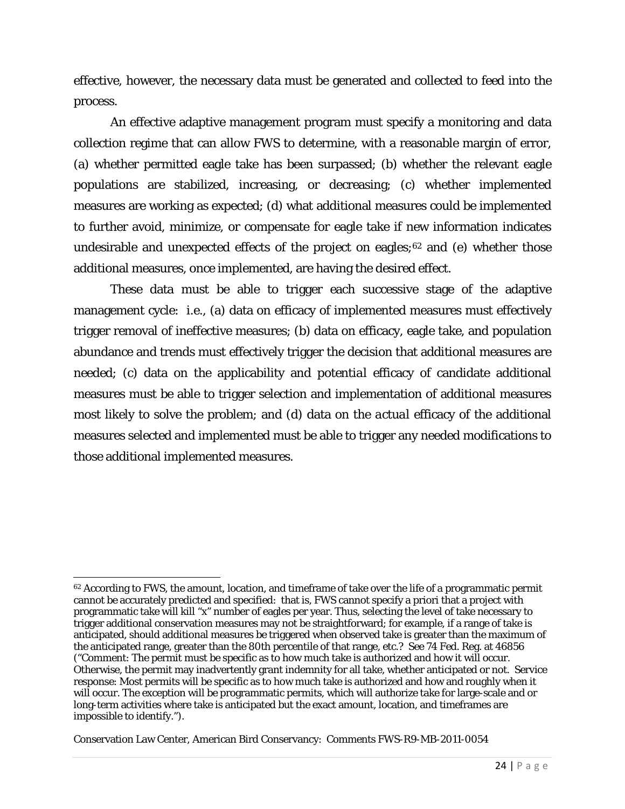effective, however, the necessary data must be generated and collected to feed into the process.

An effective adaptive management program must specify a monitoring and data collection regime that can allow FWS to determine, with a reasonable margin of error, (a) whether permitted eagle take has been surpassed; (b) whether the relevant eagle populations are stabilized, increasing, or decreasing; (c) whether implemented measures are working as expected; (d) what additional measures could be implemented to further avoid, minimize, or compensate for eagle take if new information indicates undesirable and unexpected effects of the project on eagles; $62$  and (e) whether those additional measures, once implemented, are having the desired effect.

These data must be able to trigger each successive stage of the adaptive management cycle: i.e., (a) data on efficacy of implemented measures must effectively trigger removal of ineffective measures; (b) data on efficacy, eagle take, and population abundance and trends must effectively trigger the decision that additional measures are needed; (c) data on the applicability and *potential* efficacy of candidate additional measures must be able to trigger selection and implementation of additional measures most likely to solve the problem; and (d) data on the *actual* efficacy of the additional measures selected and implemented must be able to trigger any needed modifications to those additional implemented measures.

<span id="page-23-0"></span>l <sup>62</sup> According to FWS, the amount, location, and timeframe of take over the life of a programmatic permit cannot be accurately predicted and specified: that is, FWS cannot specify a priori that a project with programmatic take will kill "x" number of eagles per year. Thus, selecting the level of take necessary to trigger additional conservation measures may not be straightforward; for example, if a range of take is anticipated, should additional measures be triggered when observed take is greater than the maximum of the anticipated range, greater than the 80th percentile of that range, etc.? *See* 74 Fed. Reg. at 46856 ("Comment: The permit must be specific as to how much take is authorized and how it will occur. Otherwise, the permit may inadvertently grant indemnity for all take, whether anticipated or not. Service response: Most permits will be specific as to how much take is authorized and how and roughly when it will occur. The exception will be programmatic permits, which will authorize take for large-scale and or long-term activities where take is anticipated but the exact amount, location, and timeframes are impossible to identify.").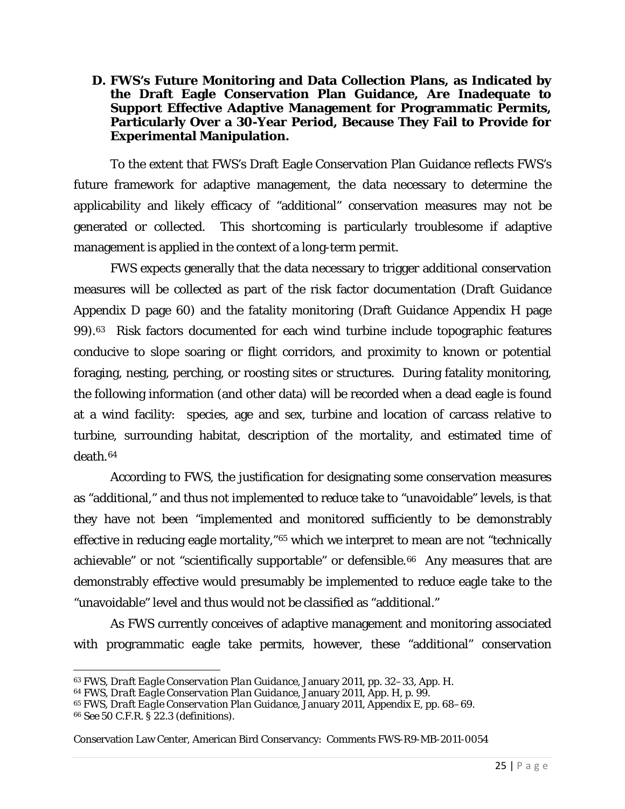#### **D. FWS's Future Monitoring and Data Collection Plans, as Indicated by the Draft Eagle Conservation Plan Guidance, Are Inadequate to Support Effective Adaptive Management for Programmatic Permits, Particularly Over a 30-Year Period, Because They Fail to Provide for Experimental Manipulation.**

To the extent that FWS's Draft Eagle Conservation Plan Guidance reflects FWS's future framework for adaptive management, the data necessary to determine the applicability and likely efficacy of "additional" conservation measures may not be generated or collected. This shortcoming is particularly troublesome if adaptive management is applied in the context of a long-term permit.

FWS expects generally that the data necessary to trigger additional conservation measures will be collected as part of the risk factor documentation (Draft Guidance Appendix D page 60) and the fatality monitoring (Draft Guidance Appendix H page 99).[63](#page-24-0) Risk factors documented for each wind turbine include topographic features conducive to slope soaring or flight corridors, and proximity to known or potential foraging, nesting, perching, or roosting sites or structures. During fatality monitoring, the following information (and other data) will be recorded when a dead eagle is found at a wind facility: species, age and sex, turbine and location of carcass relative to turbine, surrounding habitat, description of the mortality, and estimated time of death.[64](#page-24-1) 

According to FWS, the justification for designating some conservation measures as "additional," and thus not implemented to reduce take to "unavoidable" levels, is that they have not been "implemented and monitored sufficiently to be demonstrably effective in reducing eagle mortality,"[65](#page-24-2) which we interpret to mean are not "technically achievable" or not "scientifically supportable" or defensible.<sup>66</sup> Any measures that are demonstrably effective would presumably be implemented to reduce eagle take to the "unavoidable" level and thus would not be classified as "additional."

As FWS currently conceives of adaptive management and monitoring associated with programmatic eagle take permits, however, these "additional" conservation

 $\overline{\phantom{a}}$ 

<span id="page-24-0"></span><sup>63</sup> FWS, *Draft Eagle Conservation Plan Guidance*, January 2011, pp. 32–33, App. H.

<span id="page-24-1"></span><sup>64</sup> FWS, *Draft Eagle Conservation Plan Guidance*, January 2011, App. H, p. 99.

<span id="page-24-2"></span><sup>65</sup> FWS, *Draft Eagle Conservation Plan Guidance*, January 2011, Appendix E, pp. 68–69.

<span id="page-24-3"></span><sup>66</sup> *See* 50 C.F.R. § 22.3 (definitions).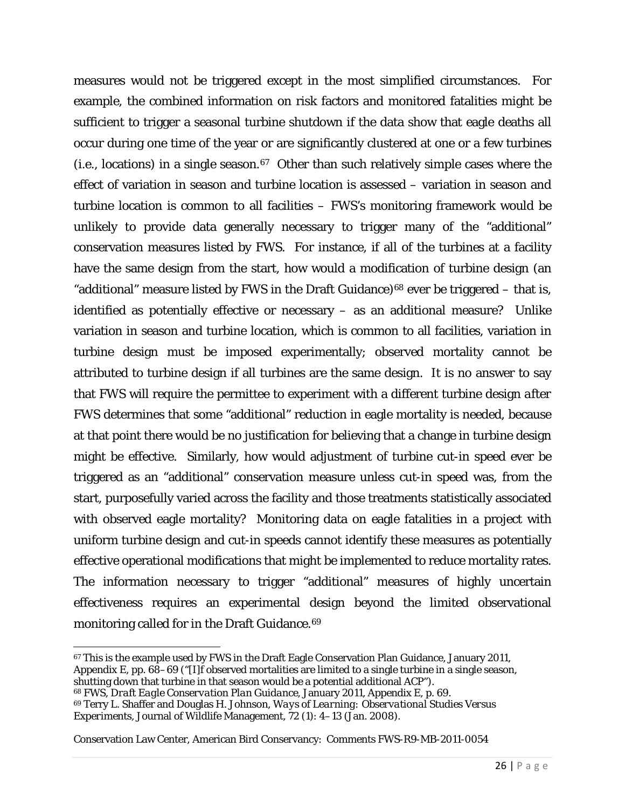measures would not be triggered except in the most simplified circumstances. For example, the combined information on risk factors and monitored fatalities might be sufficient to trigger a seasonal turbine shutdown *if* the data show that eagle deaths all occur during one time of the year or are significantly clustered at one or a few turbines (i.e., locations) in a single season.[67](#page-25-0) Other than such relatively simple cases where the effect of variation in season and turbine location is assessed – variation in season and turbine location is common to all facilities – FWS's monitoring framework would be unlikely to provide data generally necessary to trigger many of the "additional" conservation measures listed by FWS. For instance, if all of the turbines at a facility have the same design from the start, how would a modification of turbine design (an "additional" measure listed by FWS in the Draft Guidance)<sup>[68](#page-25-1)</sup> ever be triggered – that is, identified as potentially effective or necessary – as an additional measure? Unlike variation in season and turbine location, which is common to all facilities, variation in turbine design must be imposed experimentally; observed mortality cannot be attributed to turbine design if all turbines are the same design. It is no answer to say that FWS will require the permittee to experiment with a different turbine design *after* FWS determines that some "additional" reduction in eagle mortality is needed, because at that point there would be no justification for believing that a change in turbine design might be effective. Similarly, how would adjustment of turbine cut-in speed ever be triggered as an "additional" conservation measure unless cut-in speed was, from the start, purposefully varied across the facility and those treatments statistically associated with observed eagle mortality? Monitoring data on eagle fatalities in a project with uniform turbine design and cut-in speeds cannot identify these measures as potentially effective operational modifications that might be implemented to reduce mortality rates. The information necessary to trigger "additional" measures of highly uncertain effectiveness requires an experimental design beyond the limited observational monitoring called for in the Draft Guidance.<sup>[69](#page-25-2)</sup>

<span id="page-25-1"></span><sup>68</sup> FWS, *Draft Eagle Conservation Plan Guidance*, January 2011, Appendix E, p. 69.

<span id="page-25-2"></span><sup>69</sup> Terry L. Shaffer and Douglas H. Johnson, *Ways of Learning: Observational Studies Versus Experiments*, Journal of Wildlife Management, 72 (1): 4–13 (Jan. 2008).

<span id="page-25-0"></span> $\overline{\phantom{a}}$ <sup>67</sup> This is the example used by FWS in the Draft Eagle Conservation Plan Guidance, January 2011, Appendix E, pp.  $68-69$  ("[I]f observed mortalities are limited to a single turbine in a single season, shutting down that turbine in that season would be a potential additional ACP").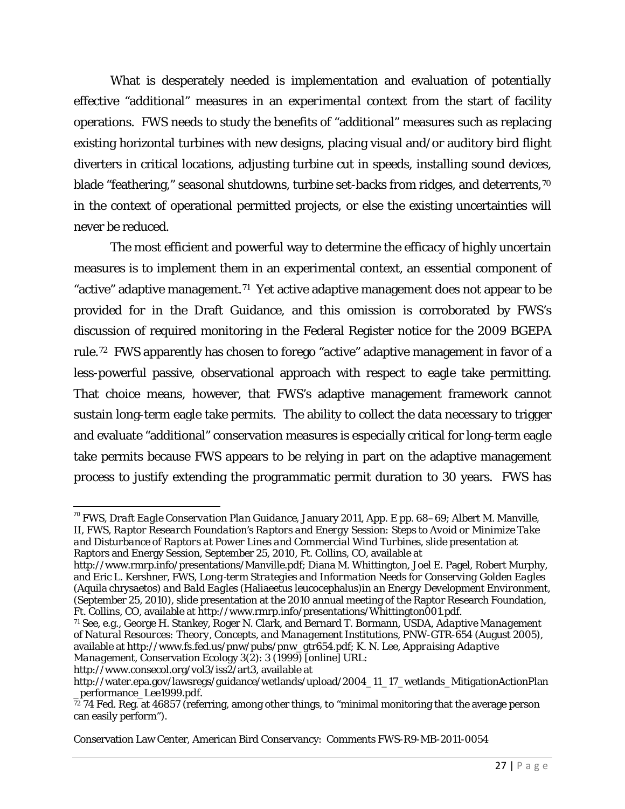What is desperately needed is implementation and evaluation of *potentially* effective "additional" measures in an *experimental* context from the start of facility operations. FWS needs to study the benefits of "additional" measures such as replacing existing horizontal turbines with new designs, placing visual and/or auditory bird flight diverters in critical locations, adjusting turbine cut in speeds, installing sound devices, blade "feathering," seasonal shutdowns, turbine set-backs from ridges, and deterrents,<sup>[70](#page-26-0)</sup> in the context of operational permitted projects, or else the existing uncertainties will never be reduced.

The most efficient and powerful way to determine the efficacy of highly uncertain measures is to implement them in an experimental context, an essential component of "active" adaptive management.[71](#page-26-1) Yet active adaptive management does not appear to be provided for in the Draft Guidance, and this omission is corroborated by FWS's discussion of required monitoring in the Federal Register notice for the 2009 BGEPA rule.[72](#page-26-2) FWS apparently has chosen to forego "active" adaptive management in favor of a less-powerful passive, observational approach with respect to eagle take permitting. That choice means, however, that FWS's adaptive management framework cannot sustain long-term eagle take permits. The ability to collect the data necessary to trigger and evaluate "additional" conservation measures is especially critical for long-term eagle take permits because FWS appears to be relying in part on the adaptive management process to justify extending the programmatic permit duration to 30 years. FWS has

<span id="page-26-0"></span> 70 FWS, *Draft Eagle Conservation Plan Guidance*, January 2011, App. E pp. 68–69; Albert M. Manville, II, FWS, *Raptor Research Foundation's Raptors and Energy Session: Steps to Avoid or Minimize Take and Disturbance of Raptors at Power Lines and Commercial Wind Turbines*, slide presentation at Raptors and Energy Session, September 25, 2010, Ft. Collins, CO, available at

http://www.rmrp.info/presentations/Manville.pdf; Diana M. Whittington, Joel E. Pagel, Robert Murphy, and Eric L. Kershner, FWS, *Long*‐*term Strategies and Information Needs for Conserving Golden Eagles (*Aquila chrysaetos*) and Bald Eagles (*Haliaeetus leucocephalus*)in an Energy Development Environment*, (September 25, 2010), slide presentation at the 2010 annual meeting of the Raptor Research Foundation, Ft. Collins, CO, available at http://www.rmrp.info/presentations/Whittington001.pdf.

<span id="page-26-1"></span><sup>71</sup> See, e.g., George H. Stankey, Roger N. Clark, and Bernard T. Bormann, USDA, *Adaptive Management of Natural Resources: Theory, Concepts, and Management Institutions*, PNW-GTR-654 (August 2005), available at http://www.fs.fed.us/pnw/pubs/pnw\_gtr654.pdf; K. N. Lee, *Appraising Adaptive Management*, Conservation Ecology 3(2): 3 (1999) [online] URL:

[http://www.consecol.org/vol3/iss2/art3,](http://www.consecol.org/vol3/iss2/art3) available at

http://water.epa.gov/lawsregs/guidance/wetlands/upload/2004\_11\_17\_wetlands\_MitigationActionPlan \_performance\_Lee1999.pdf.

<span id="page-26-2"></span><sup>72</sup> 74 Fed. Reg. at 46857 (referring, among other things, to "minimal monitoring that the average person can easily perform").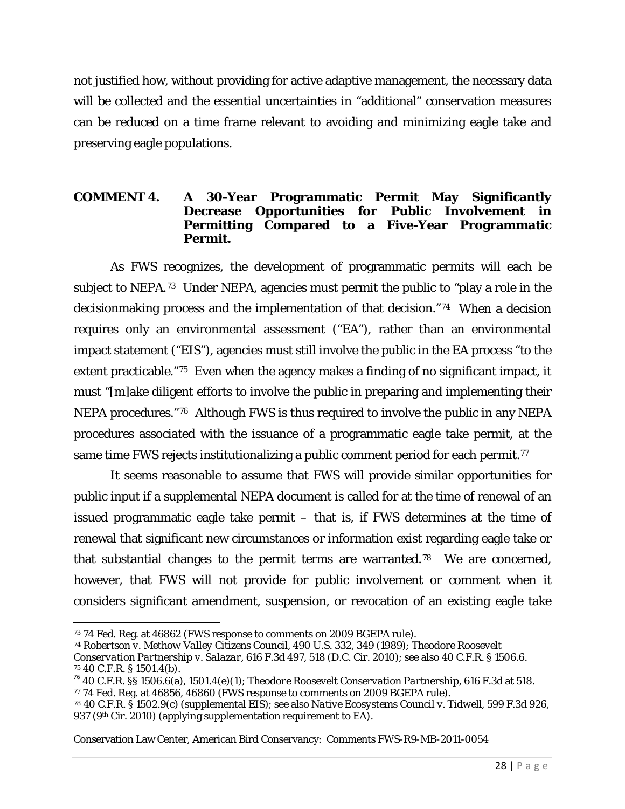not justified how, without providing for active adaptive management, the necessary data will be collected and the essential uncertainties in "additional" conservation measures can be reduced on a time frame relevant to avoiding and minimizing eagle take and preserving eagle populations.

#### **COMMENT 4. A 30-Year Programmatic Permit May Significantly Decrease Opportunities for Public Involvement in Permitting Compared to a Five-Year Programmatic Permit.**

As FWS recognizes, the development of programmatic permits will each be subject to NEPA.[73](#page-27-0) Under NEPA, agencies must permit the public to "play a role in the decisionmaking process and the implementation of that decision."[74](#page-27-1) When a decision requires only an environmental assessment ("EA"), rather than an environmental impact statement ("EIS"), agencies must still involve the public in the EA process "to the extent practicable."[75](#page-27-2) Even when the agency makes a finding of no significant impact, it must "[m]ake diligent efforts to involve the public in preparing and implementing their NEPA procedures."[76](#page-27-3) Although FWS is thus required to involve the public in any NEPA procedures associated with the issuance of a programmatic eagle take permit, at the same time FWS rejects institutionalizing a public comment period for each *permit*.[77](#page-27-4)

It seems reasonable to assume that FWS will provide similar opportunities for public input if a supplemental NEPA document is called for at the time of renewal of an issued programmatic eagle take permit – that is, if FWS determines at the time of renewal that significant new circumstances or information exist regarding eagle take or that substantial changes to the permit terms are warranted.[78](#page-27-5) We are concerned, however, that FWS will not provide for public involvement or comment when it considers significant amendment, suspension, or revocation of an *existing* eagle take

l

<span id="page-27-0"></span><sup>73</sup> 74 Fed. Reg. at 46862 (FWS response to comments on 2009 BGEPA rule).

<span id="page-27-1"></span><sup>74</sup> *Robertson v. Methow Valley Citizens Council*, 490 U.S. 332, 349 (1989); *Theodore Roosevelt* 

*Conservation Partnership v. Salazar*, 616 F.3d 497, 518 (D.C. Cir. 2010); see also 40 C.F.R. § 1506.6.

<span id="page-27-3"></span><span id="page-27-2"></span><sup>&</sup>lt;sup>76</sup> 40 C.F.R. §§ 1506.6(a), 1501.4(e)(1); *Theodore Roosevelt Conservation Partnership*, 616 F.3d at 518. <sup>77</sup> 74 Fed. Reg. at 46856, 46860 (FWS response to comments on 2009 BGEPA rule).

<span id="page-27-5"></span><span id="page-27-4"></span><sup>78</sup> 40 C.F.R. § 1502.9(c) (supplemental EIS); see also *Native Ecosystems Council v. Tidwell*, 599 F.3d 926, 937 (9<sup>th</sup> Cir. 2010) (applying supplementation requirement to EA).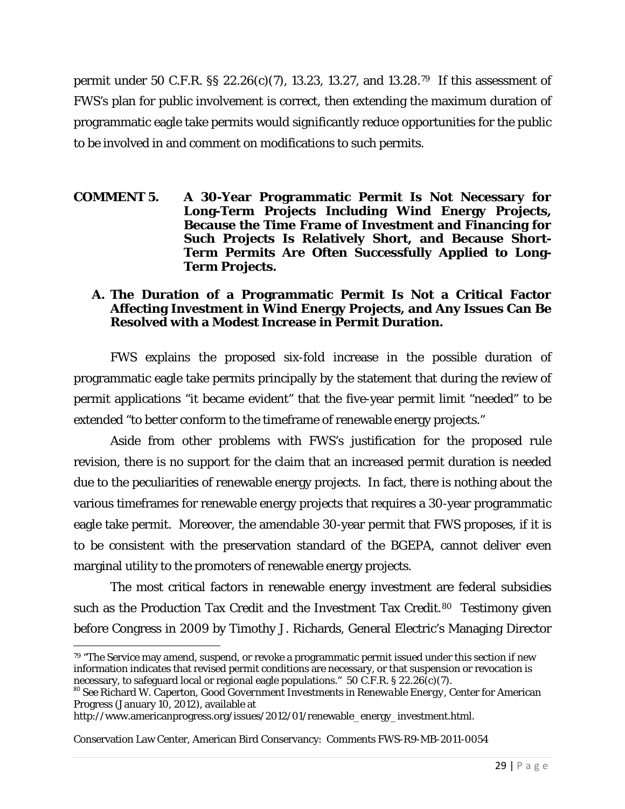permit under 50 C.F.R. §§ 22.26(c)(7), 13.23, 13.27, and 13.28.[79](#page-28-0) If this assessment of FWS's plan for public involvement is correct, then extending the maximum duration of programmatic eagle take permits would significantly reduce opportunities for the public to be involved in and comment on modifications to such permits.

#### **COMMENT 5. A 30-Year Programmatic Permit Is Not Necessary for Long-Term Projects Including Wind Energy Projects, Because the Time Frame of Investment and Financing for Such Projects Is Relatively Short, and Because Short-Term Permits Are Often Successfully Applied to Long-Term Projects.**

### **A. The Duration of a Programmatic Permit Is Not a Critical Factor Affecting Investment in Wind Energy Projects, and Any Issues Can Be Resolved with a Modest Increase in Permit Duration.**

FWS explains the proposed six-fold increase in the possible duration of programmatic eagle take permits principally by the statement that during the review of permit applications "it became evident" that the five-year permit limit "needed" to be extended "to better conform to the timeframe of renewable energy projects."

Aside from other problems with FWS's justification for the proposed rule revision, there is no support for the claim that an increased permit duration is needed due to the peculiarities of renewable energy projects. In fact, there is nothing about the various timeframes for renewable energy projects that requires a 30-year programmatic eagle take permit. Moreover, the amendable 30-year permit that FWS proposes, if it is to be consistent with the preservation standard of the BGEPA, cannot deliver even marginal utility to the promoters of renewable energy projects.

The most critical factors in renewable energy investment are federal subsidies such as the Production Tax Credit and the Investment Tax Credit.<sup>[80](#page-28-1)</sup> Testimony given before Congress in 2009 by Timothy J. Richards, General Electric's Managing Director

 $\overline{\phantom{a}}$ 

<span id="page-28-0"></span><sup>79 &</sup>quot;The Service may amend, suspend, or revoke a programmatic permit issued under this section if new information indicates that revised permit conditions are necessary, or that suspension or revocation is necessary, to safeguard local or regional eagle populations." 50 C.F.R. § 22.26(c)(7).

<span id="page-28-1"></span><sup>80</sup> *See* Richard W. Caperton, *Good Government Investments in Renewable Energy*, Center for American Progress (January 10, 2012), available at

http://www.americanprogress.org/issues/2012/01/renewable\_energy\_investment.html.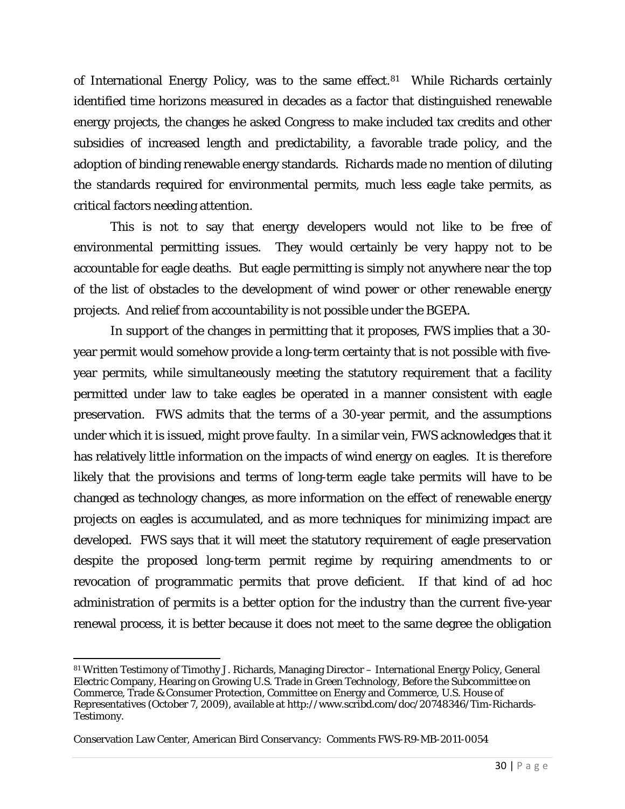of International Energy Policy, was to the same effect.<sup>[81](#page-29-0)</sup> While Richards certainly identified time horizons measured in decades as a factor that distinguished renewable energy projects, the changes he asked Congress to make included tax credits and other subsidies of increased length and predictability, a favorable trade policy, and the adoption of binding renewable energy standards. Richards made no mention of diluting the standards required for environmental permits, much less eagle take permits, as critical factors needing attention.

This is not to say that energy developers would not like to be free of environmental permitting issues. They would certainly be very happy not to be accountable for eagle deaths. But eagle permitting is simply not anywhere near the top of the list of obstacles to the development of wind power or other renewable energy projects. And relief from accountability is not possible under the BGEPA.

In support of the changes in permitting that it proposes, FWS implies that a 30 year permit would somehow provide a long-term certainty that is not possible with fiveyear permits, while simultaneously meeting the statutory requirement that a facility permitted under law to take eagles be operated in a manner consistent with eagle preservation. FWS admits that the terms of a 30-year permit, and the assumptions under which it is issued, might prove faulty. In a similar vein, FWS acknowledges that it has relatively little information on the impacts of wind energy on eagles. It is therefore likely that the provisions and terms of long-term eagle take permits will have to be changed as technology changes, as more information on the effect of renewable energy projects on eagles is accumulated, and as more techniques for minimizing impact are developed. FWS says that it will meet the statutory requirement of eagle preservation despite the proposed long-term permit regime by requiring amendments to or revocation of programmatic permits that prove deficient. If that kind of ad hoc administration of permits is a better option for the industry than the current five-year renewal process, it is better because it does not meet to the same degree the obligation

 $\overline{\phantom{a}}$ 

<span id="page-29-0"></span><sup>81</sup> Written Testimony of Timothy J. Richards, Managing Director - International Energy Policy, General Electric Company, Hearing on Growing U.S. Trade in Green Technology, Before the Subcommittee on Commerce, Trade & Consumer Protection, Committee on Energy and Commerce, U.S. House of Representatives (October 7, 2009), available at http://www.scribd.com/doc/20748346/Tim-Richards-Testimony.

Conservation Law Center, American Bird Conservancy: Comments FWS-R9-MB-2011-0054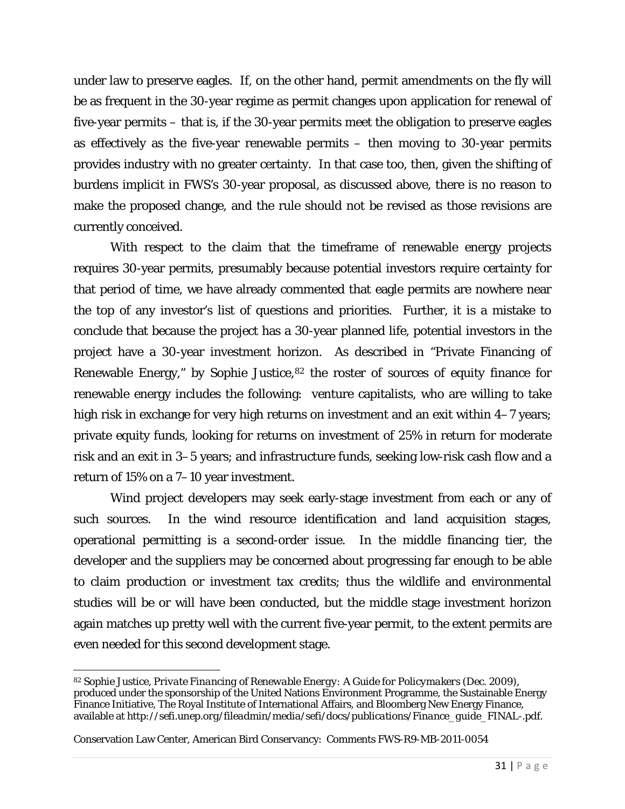under law to preserve eagles. If, on the other hand, permit amendments on the fly will be as frequent in the 30-year regime as permit changes upon application for renewal of five-year permits – that is, if the 30-year permits meet the obligation to preserve eagles as effectively as the five-year renewable permits – then moving to 30-year permits provides industry with no greater certainty. In that case too, then, given the shifting of burdens implicit in FWS's 30-year proposal, as discussed above, there is no reason to make the proposed change, and the rule should not be revised as those revisions are currently conceived.

With respect to the claim that the timeframe of renewable energy projects requires 30-year permits, presumably because potential investors require certainty for that period of time, we have already commented that eagle permits are nowhere near the top of any investor's list of questions and priorities. Further, it is a mistake to conclude that because the project has a 30-year planned life, potential investors in the project have a 30-year investment horizon. As described in "Private Financing of Renewable Energy," by Sophie Justice, [82](#page-30-0) the roster of sources of equity finance for renewable energy includes the following: venture capitalists, who are willing to take high risk in exchange for very high returns on investment and an exit within 4–7 years; private equity funds, looking for returns on investment of 25% in return for moderate risk and an exit in 3–5 years; and infrastructure funds, seeking low-risk cash flow and a return of 15% on a 7–10 year investment.

Wind project developers may seek early-stage investment from each or any of such sources. In the wind resource identification and land acquisition stages, operational permitting is a second-order issue. In the middle financing tier, the developer and the suppliers may be concerned about progressing far enough to be able to claim production or investment tax credits; thus the wildlife and environmental studies will be or will have been conducted, but the middle stage investment horizon again matches up pretty well with the current five-year permit, to the extent permits are even needed for this second development stage.

<span id="page-30-0"></span> $\overline{\phantom{a}}$ <sup>82</sup> Sophie Justice, *Private Financing of Renewable Energy: A Guide for Policymakers* (Dec. 2009), produced under the sponsorship of the United Nations Environment Programme, the Sustainable Energy Finance Initiative, The Royal Institute of International Affairs, and Bloomberg New Energy Finance, available at *http://sefi.unep.org/fileadmin/media/sefi/docs/publications/Finance\_guide\_FINAL-.pdf*.

Conservation Law Center, American Bird Conservancy: Comments FWS-R9-MB-2011-0054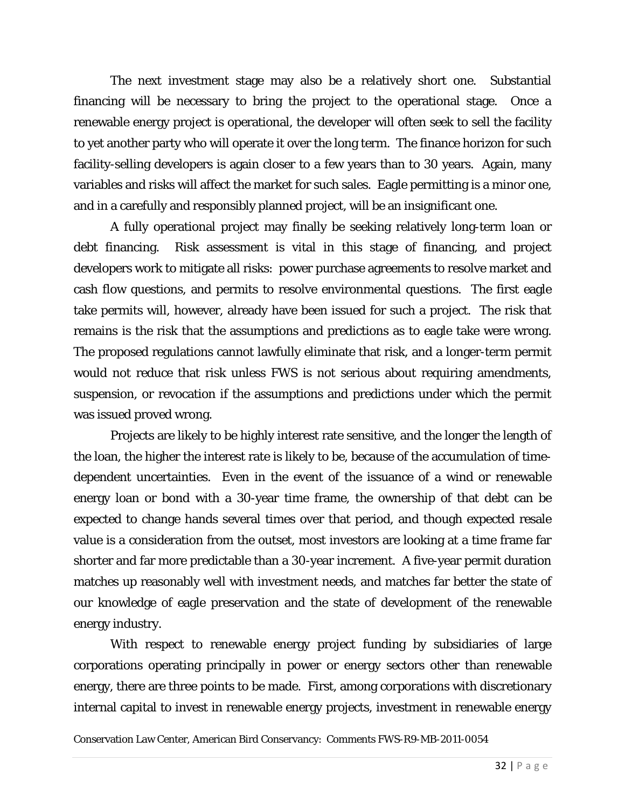The next investment stage may also be a relatively short one. Substantial financing will be necessary to bring the project to the operational stage. Once a renewable energy project is operational, the developer will often seek to sell the facility to yet another party who will operate it over the long term. The finance horizon for such facility-selling developers is again closer to a few years than to 30 years. Again, many variables and risks will affect the market for such sales. Eagle permitting is a minor one, and in a carefully and responsibly planned project, will be an insignificant one.

A fully operational project may finally be seeking relatively long-term loan or debt financing. Risk assessment is vital in this stage of financing, and project developers work to mitigate all risks: power purchase agreements to resolve market and cash flow questions, and permits to resolve environmental questions. The first eagle take permits will, however, already have been issued for such a project. The risk that remains is the risk that the assumptions and predictions as to eagle take were wrong. The proposed regulations cannot lawfully eliminate that risk, and a longer-term permit would not reduce that risk unless FWS is not serious about requiring amendments, suspension, or revocation if the assumptions and predictions under which the permit was issued proved wrong.

Projects are likely to be highly interest rate sensitive, and the longer the length of the loan, the higher the interest rate is likely to be, because of the accumulation of timedependent uncertainties. Even in the event of the issuance of a wind or renewable energy loan or bond with a 30-year time frame, the ownership of that debt can be expected to change hands several times over that period, and though expected resale value is a consideration from the outset, most investors are looking at a time frame far shorter and far more predictable than a 30-year increment. A five-year permit duration matches up reasonably well with investment needs, and matches far better the state of our knowledge of eagle preservation and the state of development of the renewable energy industry.

With respect to renewable energy project funding by subsidiaries of large corporations operating principally in power or energy sectors other than renewable energy, there are three points to be made. First, among corporations with discretionary internal capital to invest in renewable energy projects, investment in renewable energy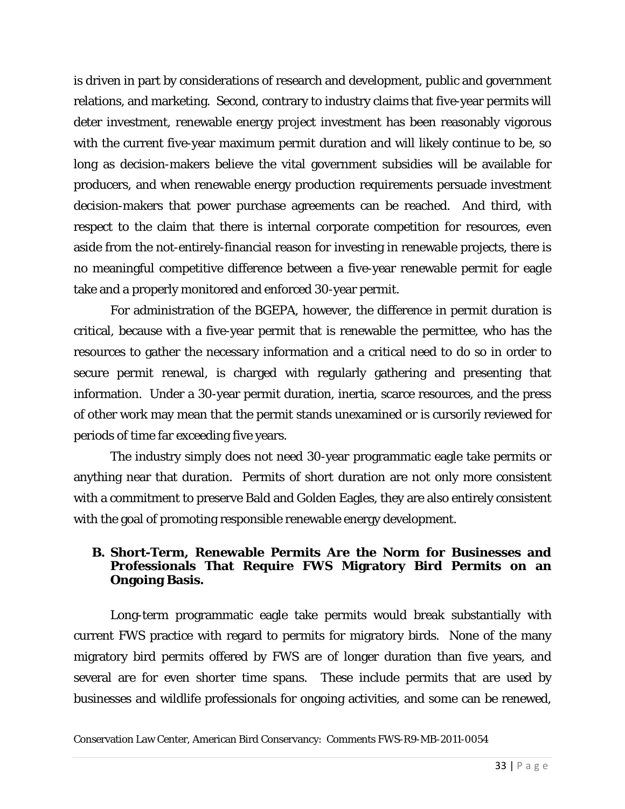is driven in part by considerations of research and development, public and government relations, and marketing. Second, contrary to industry claims that five-year permits will deter investment, renewable energy project investment has been reasonably vigorous with the current five-year maximum permit duration and will likely continue to be, so long as decision-makers believe the vital government subsidies will be available for producers, and when renewable energy production requirements persuade investment decision-makers that power purchase agreements can be reached. And third, with respect to the claim that there is internal corporate competition for resources, even aside from the not-entirely-financial reason for investing in renewable projects, there is no meaningful competitive difference between a five-year renewable permit for eagle take and a properly monitored and enforced 30-year permit.

For administration of the BGEPA, however, the difference in permit duration is critical, because with a five-year permit that is renewable the permittee, who has the resources to gather the necessary information and a critical need to do so in order to secure permit renewal, is charged with regularly gathering and presenting that information. Under a 30-year permit duration, inertia, scarce resources, and the press of other work may mean that the permit stands unexamined or is cursorily reviewed for periods of time far exceeding five years.

The industry simply does not need 30-year programmatic eagle take permits or anything near that duration. Permits of short duration are not only more consistent with a commitment to preserve Bald and Golden Eagles, they are also entirely consistent with the goal of promoting responsible renewable energy development.

### **B. Short-Term, Renewable Permits Are the Norm for Businesses and Professionals That Require FWS Migratory Bird Permits on an Ongoing Basis.**

Long-term programmatic eagle take permits would break substantially with current FWS practice with regard to permits for migratory birds. None of the many migratory bird permits offered by FWS are of longer duration than five years, and several are for even shorter time spans. These include permits that are used by businesses and wildlife professionals for ongoing activities, and some can be renewed,

Conservation Law Center, American Bird Conservancy: Comments FWS-R9-MB-2011-0054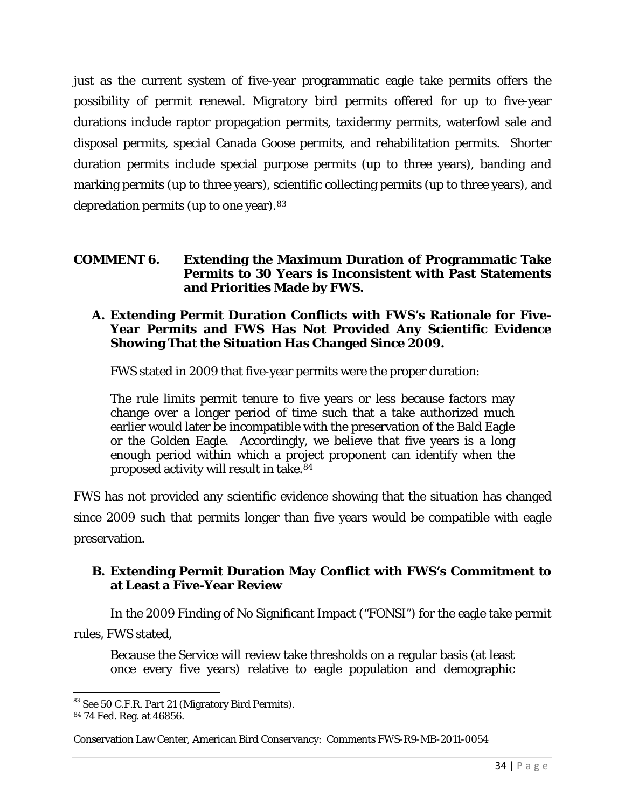just as the current system of five-year programmatic eagle take permits offers the possibility of permit renewal. Migratory bird permits offered for up to five-year durations include raptor propagation permits, taxidermy permits, waterfowl sale and disposal permits, special Canada Goose permits, and rehabilitation permits. Shorter duration permits include special purpose permits (up to three years), banding and marking permits (up to three years), scientific collecting permits (up to three years), and depredation permits (up to one year).[83](#page-33-0)

#### **COMMENT 6. Extending the Maximum Duration of Programmatic Take Permits to 30 Years is Inconsistent with Past Statements and Priorities Made by FWS.**

#### **A. Extending Permit Duration Conflicts with FWS's Rationale for Five-Year Permits and FWS Has Not Provided Any Scientific Evidence Showing That the Situation Has Changed Since 2009.**

FWS stated in 2009 that five-year permits were the proper duration:

The rule limits permit tenure to five years or less because factors may change over a longer period of time such that a take authorized much earlier would later be incompatible with the preservation of the Bald Eagle or the Golden Eagle. Accordingly, we believe that five years is a long enough period within which a project proponent can identify when the proposed activity will result in take.[84](#page-33-1)

FWS has not provided any scientific evidence showing that the situation has changed since 2009 such that permits longer than five years would be compatible with eagle preservation.

#### **B. Extending Permit Duration May Conflict with FWS's Commitment to at Least a Five-Year Review**

In the 2009 Finding of No Significant Impact ("FONSI") for the eagle take permit rules, FWS stated,

Because the Service will review take thresholds on a regular basis (at least once every five years) relative to eagle population and demographic

<span id="page-33-0"></span> $83$  See 50 C.F.R. Part 21 (Migratory Bird Permits).  $84$  74 Fed. Reg. at 46856.

<span id="page-33-1"></span>

Conservation Law Center, American Bird Conservancy: Comments FWS-R9-MB-2011-0054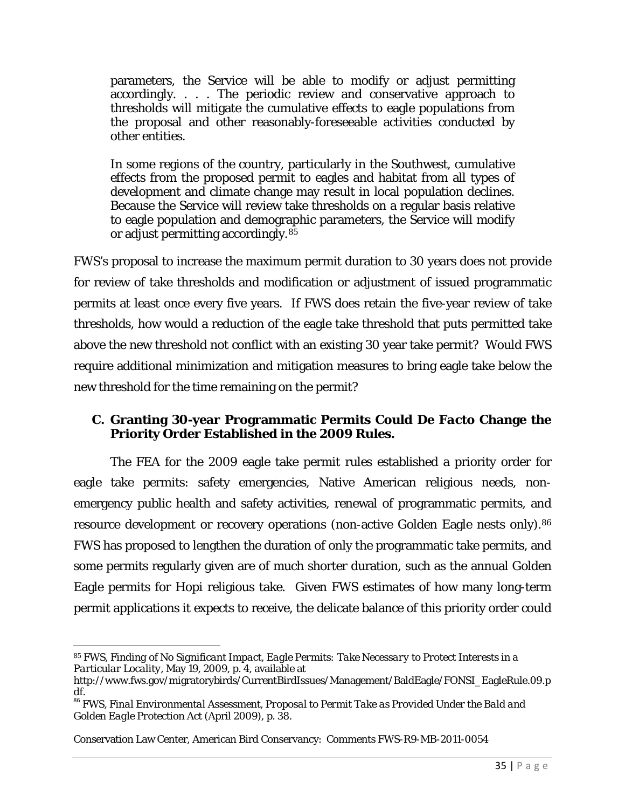parameters, the Service will be able to modify or adjust permitting accordingly. . . . The periodic review and conservative approach to thresholds will mitigate the cumulative effects to eagle populations from the proposal and other reasonably-foreseeable activities conducted by other entities.

In some regions of the country, particularly in the Southwest, cumulative effects from the proposed permit to eagles and habitat from all types of development and climate change may result in local population declines. Because the Service will review take thresholds on a regular basis relative to eagle population and demographic parameters, the Service will modify or adjust permitting accordingly.[85](#page-34-0)

FWS's proposal to increase the maximum permit duration to 30 years does not provide for review of take thresholds and modification or adjustment of issued programmatic permits at least once every five years. If FWS does retain the five-year review of take thresholds, how would a reduction of the eagle take threshold that puts permitted take above the new threshold not conflict with an existing 30 year take permit? Would FWS require additional minimization and mitigation measures to bring eagle take below the new threshold for the time remaining on the permit?

### **C. Granting 30-year Programmatic Permits Could** *De Facto* **Change the Priority Order Established in the 2009 Rules.**

The FEA for the 2009 eagle take permit rules established a priority order for eagle take permits: safety emergencies, Native American religious needs, nonemergency public health and safety activities, renewal of programmatic permits, and resource development or recovery operations (non-active Golden Eagle nests only).<sup>[86](#page-34-1)</sup> FWS has proposed to lengthen the duration of only the programmatic take permits, and some permits regularly given are of much shorter duration, such as the annual Golden Eagle permits for Hopi religious take. Given FWS estimates of how many long-term permit applications it expects to receive, the delicate balance of this priority order could

 $\overline{\phantom{a}}$ 

<span id="page-34-0"></span><sup>85</sup> FWS, *Finding of No Significant Impact, Eagle Permits: Take Necessary to Protect Interests in a Particular Locality*, May 19, 2009, p. 4, available at

[http://www.fws.gov/migratorybirds/CurrentBirdIssues/Management/BaldEagle/FONSI\\_EagleRule.09.p](http://www.fws.gov/migratorybirds/CurrentBirdIssues/Management/BaldEagle/FONSI_EagleRule.09.pdf)

<span id="page-34-1"></span>[df.](http://www.fws.gov/migratorybirds/CurrentBirdIssues/Management/BaldEagle/FONSI_EagleRule.09.pdf) <sup>86</sup> FWS, *Final Environmental Assessment, Proposal to Permit Take as Provided Under the Bald and Golden Eagle Protection Act* (April 2009), p. 38.

Conservation Law Center, American Bird Conservancy: Comments FWS-R9-MB-2011-0054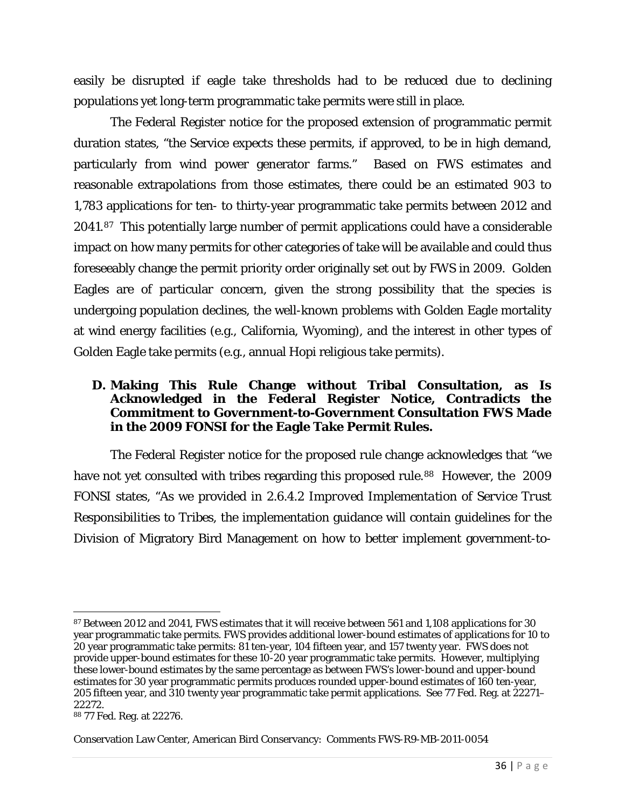easily be disrupted if eagle take thresholds had to be reduced due to declining populations yet long-term programmatic take permits were still in place.

The Federal Register notice for the proposed extension of programmatic permit duration states, "the Service expects these permits, if approved, to be in high demand, particularly from wind power generator farms." Based on FWS estimates and reasonable extrapolations from those estimates, there could be an estimated 903 to 1,783 applications for ten- to thirty-year programmatic take permits between 2012 and 2041.[87](#page-35-0) This potentially large number of permit applications could have a considerable impact on how many permits for other categories of take will be available and could thus foreseeably change the permit priority order originally set out by FWS in 2009. Golden Eagles are of particular concern, given the strong possibility that the species is undergoing population declines, the well-known problems with Golden Eagle mortality at wind energy facilities (e.g., California, Wyoming), and the interest in other types of Golden Eagle take permits (e.g., annual Hopi religious take permits).

#### **D. Making This Rule Change without Tribal Consultation, as Is Acknowledged in the Federal Register Notice, Contradicts the Commitment to Government-to-Government Consultation FWS Made in the 2009 FONSI for the Eagle Take Permit Rules.**

The Federal Register notice for the proposed rule change acknowledges that "we have not yet consulted with tribes regarding this proposed rule.<sup>[88](#page-35-1)</sup> However, the 2009 FONSI states, "As we provided in 2.6.4.2 *Improved Implementation of Service Trust Responsibilities to Tribes*, the implementation guidance will contain guidelines for the Division of Migratory Bird Management on how to better implement government-to-

<span id="page-35-0"></span>l <sup>87</sup> Between 2012 and 2041, FWS estimates that it will receive between 561 and 1,108 applications for 30 year programmatic take permits. FWS provides additional lower-bound estimates of applications for 10 to 20 year programmatic take permits: 81 ten-year, 104 fifteen year, and 157 twenty year. FWS does not provide upper-bound estimates for these 10-20 year programmatic take permits. However, multiplying these lower-bound estimates by the same percentage as between FWS's lower-bound and upper-bound estimates for 30 year programmatic permits produces rounded upper-bound estimates of 160 ten-year, 205 fifteen year, and 310 twenty year programmatic take permit applications. See 77 Fed. Reg. at 22271– 22272.

<span id="page-35-1"></span><sup>88</sup> 77 Fed. Reg. at 22276.

Conservation Law Center, American Bird Conservancy: Comments FWS-R9-MB-2011-0054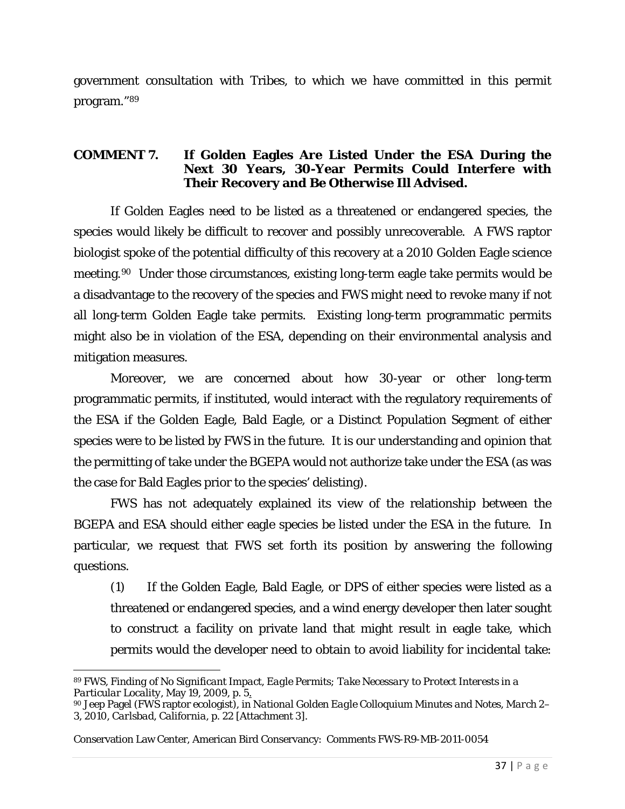government consultation with Tribes, to which we have committed in this permit program."[89](#page-36-0)

#### **COMMENT 7. If Golden Eagles Are Listed Under the ESA During the Next 30 Years, 30-Year Permits Could Interfere with Their Recovery and Be Otherwise Ill Advised.**

If Golden Eagles need to be listed as a threatened or endangered species, the species would likely be difficult to recover and possibly unrecoverable. A FWS raptor biologist spoke of the potential difficulty of this recovery at a 2010 Golden Eagle science meeting.[90](#page-36-1) Under those circumstances, existing long-term eagle take permits would be a disadvantage to the recovery of the species and FWS might need to revoke many if not all long-term Golden Eagle take permits. Existing long-term programmatic permits might also be in violation of the ESA, depending on their environmental analysis and mitigation measures.

Moreover, we are concerned about how 30-year or other long-term programmatic permits, if instituted, would interact with the regulatory requirements of the ESA if the Golden Eagle, Bald Eagle, or a Distinct Population Segment of either species were to be listed by FWS in the future. It is our understanding and opinion that the permitting of take under the BGEPA would not authorize take under the ESA (as was the case for Bald Eagles prior to the species' delisting).

FWS has not adequately explained its view of the relationship between the BGEPA and ESA should either eagle species be listed under the ESA in the future. In particular, we request that FWS set forth its position by answering the following questions.

(1) If the Golden Eagle, Bald Eagle, or DPS of either species were listed as a threatened or endangered species, and a wind energy developer then later sought to construct a facility on private land that might result in eagle take, which permits would the developer need to obtain to avoid liability for incidental take:

<span id="page-36-0"></span> $\overline{\phantom{a}}$ <sup>89</sup> FWS, *Finding of No Significant Impact, Eagle Permits; Take Necessary to Protect Interests in a Particular Locality*, May 19, 2009, p. 5.

<span id="page-36-1"></span><sup>90</sup> Jeep Pagel (FWS raptor ecologist), in *National Golden Eagle Colloquium Minutes and Notes, March 2– 3, 2010, Carlsbad, California*, p. 22 [Attachment 3].

Conservation Law Center, American Bird Conservancy: Comments FWS-R9-MB-2011-0054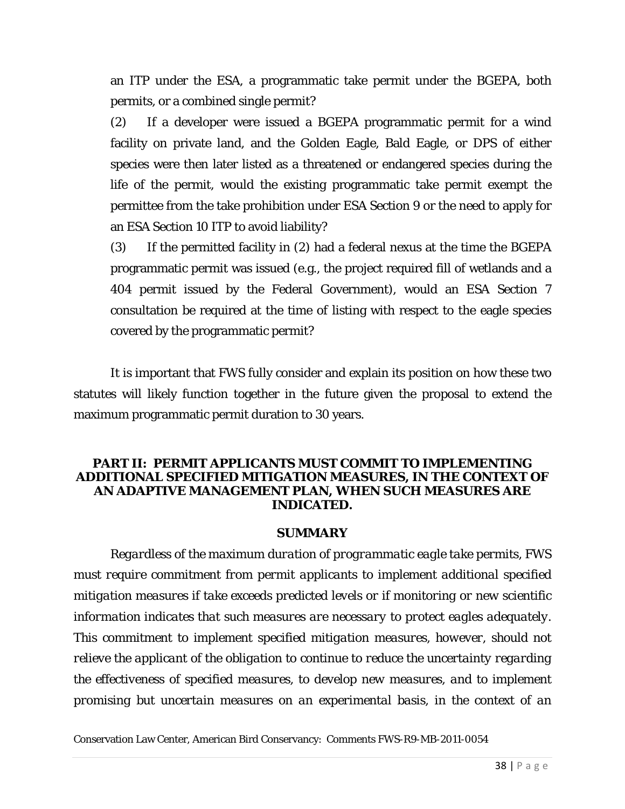an ITP under the ESA, a programmatic take permit under the BGEPA, both permits, or a combined single permit?

(2) If a developer were issued a BGEPA programmatic permit for a wind facility on private land, and the Golden Eagle, Bald Eagle, or DPS of either species were then later listed as a threatened or endangered species during the life of the permit, would the existing programmatic take permit exempt the permittee from the take prohibition under ESA Section 9 or the need to apply for an ESA Section 10 ITP to avoid liability?

(3) If the permitted facility in (2) had a federal nexus at the time the BGEPA programmatic permit was issued (e.g., the project required fill of wetlands and a 404 permit issued by the Federal Government), would an ESA Section 7 consultation be required at the time of listing with respect to the eagle species covered by the programmatic permit?

It is important that FWS fully consider and explain its position on how these two statutes will likely function together in the future given the proposal to extend the maximum programmatic permit duration to 30 years.

#### **PART II: PERMIT APPLICANTS MUST COMMIT TO IMPLEMENTING ADDITIONAL SPECIFIED MITIGATION MEASURES, IN THE CONTEXT OF AN ADAPTIVE MANAGEMENT PLAN, WHEN SUCH MEASURES ARE INDICATED.**

#### **SUMMARY**

*Regardless of the maximum duration of programmatic eagle take permits, FWS must require commitment from permit applicants to implement additional specified mitigation measures if take exceeds predicted levels or if monitoring or new scientific information indicates that such measures are necessary to protect eagles adequately. This commitment to implement specified mitigation measures, however, should not relieve the applicant of the obligation to continue to reduce the uncertainty regarding the effectiveness of specified measures, to develop new measures, and to implement promising but uncertain measures on an experimental basis, in the context of an* 

```
Conservation Law Center, American Bird Conservancy: Comments FWS-R9-MB-2011-0054
```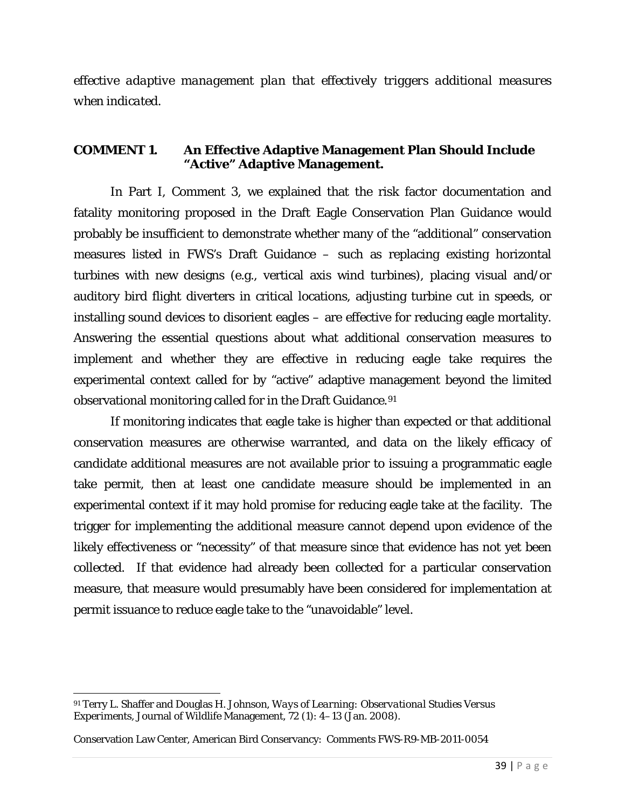*effective adaptive management plan that effectively triggers additional measures when indicated.*

#### **COMMENT 1. An Effective Adaptive Management Plan Should Include "Active" Adaptive Management.**

In Part I, Comment 3, we explained that the risk factor documentation and fatality monitoring proposed in the Draft Eagle Conservation Plan Guidance would probably be insufficient to demonstrate whether many of the "additional" conservation measures listed in FWS's Draft Guidance – such as replacing existing horizontal turbines with new designs (e.g., vertical axis wind turbines), placing visual and/or auditory bird flight diverters in critical locations, adjusting turbine cut in speeds, or installing sound devices to disorient eagles – are effective for reducing eagle mortality. Answering the essential questions about what additional conservation measures to implement and whether they are effective in reducing eagle take requires the experimental context called for by "active" adaptive management beyond the limited observational monitoring called for in the Draft Guidance.[91](#page-38-0)

If monitoring indicates that eagle take is higher than expected or that additional conservation measures are otherwise warranted, and data on the likely efficacy of candidate additional measures are not available prior to issuing a programmatic eagle take permit, then at least one candidate measure should be implemented in an experimental context if it may hold promise for reducing eagle take at the facility. The trigger for implementing the additional measure cannot depend upon evidence of the likely effectiveness or "necessity" of that measure since that evidence has not yet been collected. If that evidence had already been collected for a particular conservation measure, that measure would presumably have been considered for implementation at permit issuance to reduce eagle take to the "unavoidable" level.

<span id="page-38-0"></span>l <sup>91</sup> Terry L. Shaffer and Douglas H. Johnson, *Ways of Learning: Observational Studies Versus Experiments*, Journal of Wildlife Management, 72 (1): 4–13 (Jan. 2008).

Conservation Law Center, American Bird Conservancy: Comments FWS-R9-MB-2011-0054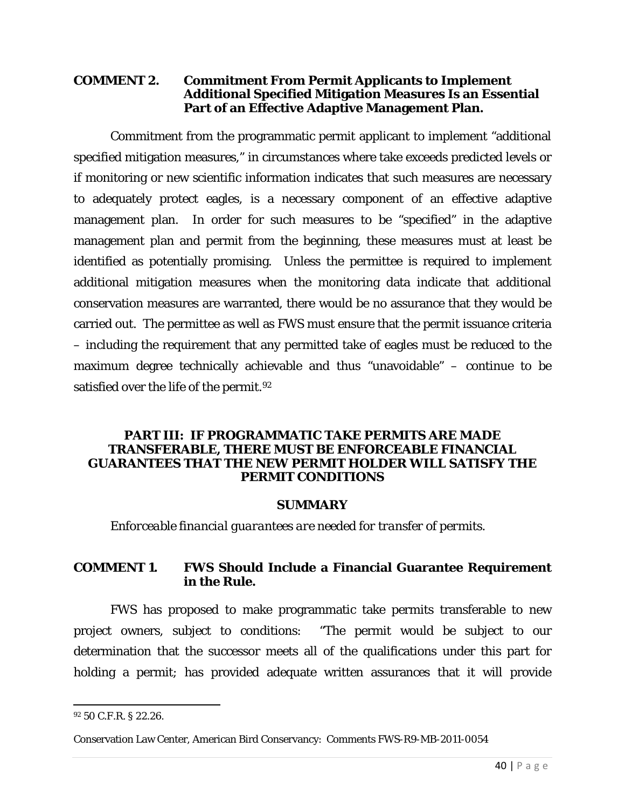#### **COMMENT 2. Commitment From Permit Applicants to Implement Additional Specified Mitigation Measures Is an Essential Part of an Effective Adaptive Management Plan.**

Commitment from the programmatic permit applicant to implement "additional specified mitigation measures," in circumstances where take exceeds predicted levels or if monitoring or new scientific information indicates that such measures are necessary to adequately protect eagles, is a necessary component of an effective adaptive management plan. In order for such measures to be "specified" in the adaptive management plan and permit from the beginning, these measures must at least be identified as potentially promising. Unless the permittee is required to implement additional mitigation measures when the monitoring data indicate that additional conservation measures are warranted, there would be no assurance that they would be carried out. The permittee as well as FWS must ensure that the permit issuance criteria – including the requirement that any permitted take of eagles must be reduced to the maximum degree technically achievable and thus "unavoidable" – continue to be satisfied over the life of the permit.<sup>[92](#page-39-0)</sup>

#### **PART III: IF PROGRAMMATIC TAKE PERMITS ARE MADE TRANSFERABLE, THERE MUST BE ENFORCEABLE FINANCIAL GUARANTEES THAT THE NEW PERMIT HOLDER WILL SATISFY THE PERMIT CONDITIONS**

#### **SUMMARY**

*Enforceable financial guarantees are needed for transfer of permits.*

### **COMMENT 1. FWS Should Include a Financial Guarantee Requirement in the Rule.**

FWS has proposed to make programmatic take permits transferable to new project owners, subject to conditions: "The permit would be subject to our determination that the successor meets all of the qualifications under this part for holding a permit; has provided adequate written assurances that it will provide

 $\overline{\phantom{a}}$ 

<span id="page-39-0"></span><sup>92</sup> 50 C.F.R. § 22.26.

Conservation Law Center, American Bird Conservancy: Comments FWS-R9-MB-2011-0054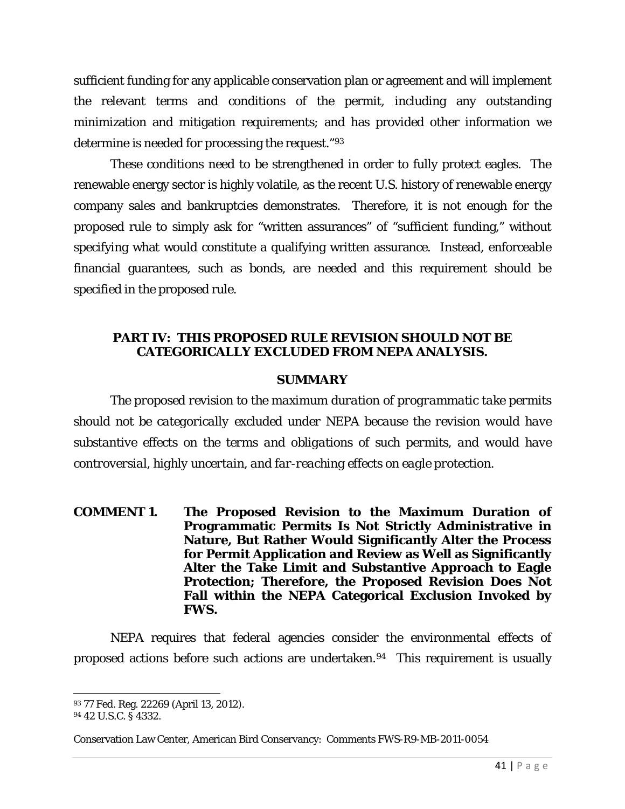sufficient funding for any applicable conservation plan or agreement and will implement the relevant terms and conditions of the permit, including any outstanding minimization and mitigation requirements; and has provided other information we determine is needed for processing the request."[93](#page-40-0)

These conditions need to be strengthened in order to fully protect eagles. The renewable energy sector is highly volatile, as the recent U.S. history of renewable energy company sales and bankruptcies demonstrates. Therefore, it is not enough for the proposed rule to simply ask for "written assurances" of "sufficient funding," without specifying what would constitute a qualifying written assurance. Instead, enforceable financial guarantees, such as bonds, are needed and this requirement should be specified in the proposed rule.

#### **PART IV: THIS PROPOSED RULE REVISION SHOULD NOT BE CATEGORICALLY EXCLUDED FROM NEPA ANALYSIS.**

#### **SUMMARY**

*The proposed revision to the maximum duration of programmatic take permits should not be categorically excluded under NEPA because the revision would have substantive effects on the terms and obligations of such permits, and would have controversial, highly uncertain, and far-reaching effects on eagle protection.*

**COMMENT 1. The Proposed Revision to the Maximum Duration of Programmatic Permits Is Not Strictly Administrative in Nature, But Rather Would Significantly Alter the Process for Permit Application and Review as Well as Significantly Alter the Take Limit and Substantive Approach to Eagle Protection; Therefore, the Proposed Revision Does Not Fall within the NEPA Categorical Exclusion Invoked by FWS.**

NEPA requires that federal agencies consider the environmental effects of proposed actions before such actions are undertaken.[94](#page-40-1) This requirement is usually

l <sup>93</sup> 77 Fed. Reg. 22269 (April 13, 2012).

<span id="page-40-1"></span><span id="page-40-0"></span><sup>94</sup> 42 U.S.C. § 4332.

Conservation Law Center, American Bird Conservancy: Comments FWS-R9-MB-2011-0054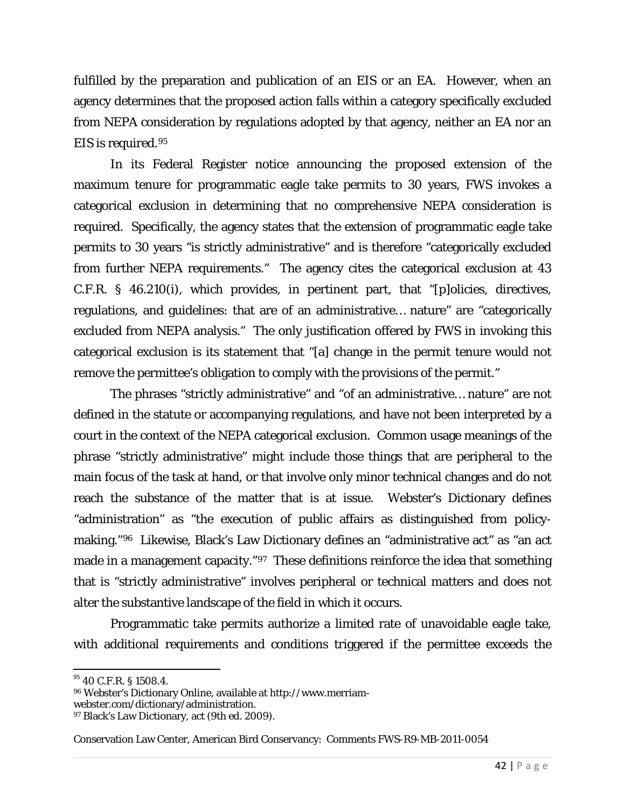fulfilled by the preparation and publication of an EIS or an EA. However, when an agency determines that the proposed action falls within a category specifically excluded from NEPA consideration by regulations adopted by that agency, neither an EA nor an EIS is required.[95](#page-41-0) 

In its Federal Register notice announcing the proposed extension of the maximum tenure for programmatic eagle take permits to 30 years, FWS invokes a categorical exclusion in determining that no comprehensive NEPA consideration is required. Specifically, the agency states that the extension of programmatic eagle take permits to 30 years "is strictly administrative" and is therefore "categorically excluded from further NEPA requirements." The agency cites the categorical exclusion at 43 C.F.R. § 46.210(i), which provides, in pertinent part, that "[p]olicies, directives, regulations, and guidelines: that are of an administrative… nature" are "categorically excluded from NEPA analysis." The only justification offered by FWS in invoking this categorical exclusion is its statement that "[a] change in the permit tenure would not remove the permittee's obligation to comply with the provisions of the permit."

The phrases "strictly administrative" and "of an administrative… nature" are not defined in the statute or accompanying regulations, and have not been interpreted by a court in the context of the NEPA categorical exclusion. Common usage meanings of the phrase "strictly administrative" might include those things that are peripheral to the main focus of the task at hand, or that involve only minor technical changes and do not reach the substance of the matter that is at issue. Webster's Dictionary defines "administration" as "the execution of public affairs as distinguished from policymaking."[96](#page-41-1) Likewise, Black's Law Dictionary defines an "administrative act" as "an act made in a management capacity."[97](#page-41-2) These definitions reinforce the idea that something that is "strictly administrative" involves peripheral or technical matters and does not alter the substantive landscape of the field in which it occurs.

Programmatic take permits authorize a limited rate of unavoidable eagle take, with additional requirements and conditions triggered if the permittee exceeds the

<span id="page-41-0"></span><sup>95 40</sup> C.F.R. § 1508.4.

<span id="page-41-1"></span><sup>96</sup> Webster's Dictionary Online, available at http://www.merriam-

webster.com/dictionary/administration.

<span id="page-41-2"></span><sup>97</sup> Black's Law Dictionary, act (9th ed. 2009).

Conservation Law Center, American Bird Conservancy: Comments FWS-R9-MB-2011-0054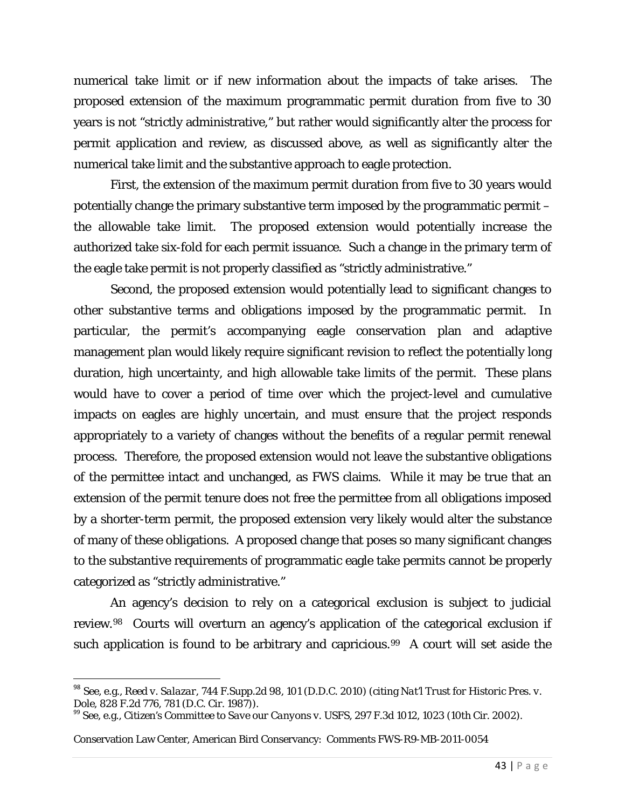numerical take limit or if new information about the impacts of take arises. The proposed extension of the maximum programmatic permit duration from five to 30 years is not "strictly administrative," but rather would significantly alter the process for permit application and review, as discussed above, as well as significantly alter the numerical take limit and the substantive approach to eagle protection.

First, the extension of the maximum permit duration from five to 30 years would potentially change the primary substantive term imposed by the programmatic permit – the allowable take limit. The proposed extension would potentially increase the authorized take six-fold for each permit issuance. Such a change in the primary term of the eagle take permit is not properly classified as "strictly administrative."

Second, the proposed extension would potentially lead to significant changes to other substantive terms and obligations imposed by the programmatic permit. In particular, the permit's accompanying eagle conservation plan and adaptive management plan would likely require significant revision to reflect the potentially long duration, high uncertainty, and high allowable take limits of the permit. These plans would have to cover a period of time over which the project-level and cumulative impacts on eagles are highly uncertain, and must ensure that the project responds appropriately to a variety of changes without the benefits of a regular permit renewal process. Therefore, the proposed extension would not leave the substantive obligations of the permittee intact and unchanged, as FWS claims. While it may be true that an extension of the permit tenure does not free the permittee from all obligations imposed by a shorter-term permit, the proposed extension very likely would alter the substance of many of these obligations. A proposed change that poses so many significant changes to the substantive requirements of programmatic eagle take permits cannot be properly categorized as "strictly administrative."

An agency's decision to rely on a categorical exclusion is subject to judicial review.[98](#page-42-0) Courts will overturn an agency's application of the categorical exclusion if such application is found to be arbitrary and capricious.<sup>99</sup> A court will set aside the

<span id="page-42-0"></span> <sup>98</sup> See, e.g., *Reed v. Salazar*, 744 F.Supp.2d 98, 101 (D.D.C. 2010) (citing *Nat'l Trust for Historic Pres. v.* 

<span id="page-42-1"></span><sup>&</sup>lt;sup>99</sup> See, e.g., *Citizen's Committee to Save our Canyons v. USFS*, 297 F.3d 1012, 1023 (10th Cir. 2002).

Conservation Law Center, American Bird Conservancy: Comments FWS-R9-MB-2011-0054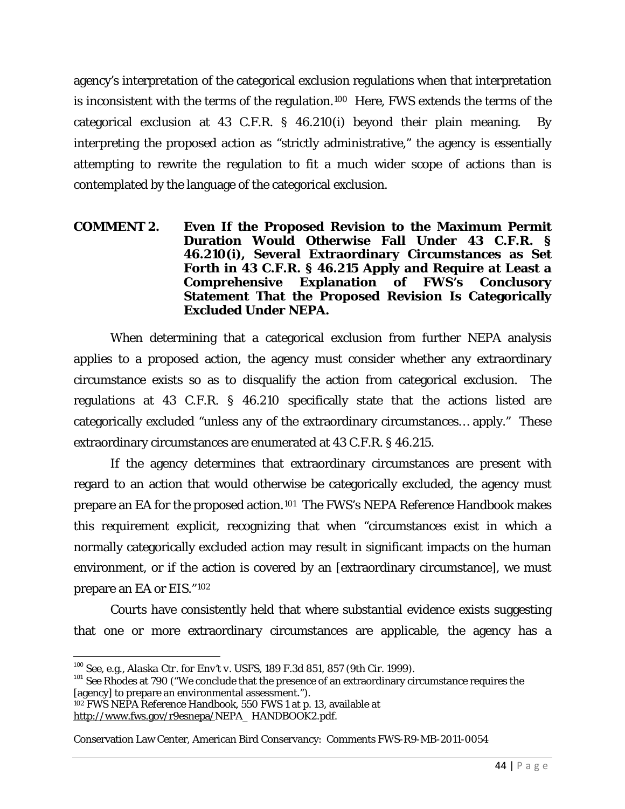agency's interpretation of the categorical exclusion regulations when that interpretation is inconsistent with the terms of the regulation.[100](#page-43-0) Here, FWS extends the terms of the categorical exclusion at 43 C.F.R. § 46.210(i) beyond their plain meaning. By interpreting the proposed action as "strictly administrative," the agency is essentially attempting to rewrite the regulation to fit a much wider scope of actions than is contemplated by the language of the categorical exclusion.

#### **COMMENT 2. Even If the Proposed Revision to the Maximum Permit Duration Would Otherwise Fall Under 43 C.F.R. § 46.210(i), Several Extraordinary Circumstances as Set Forth in 43 C.F.R. § 46.215 Apply and Require at Least a Comprehensive Explanation of FWS's Conclusory Statement That the Proposed Revision Is Categorically Excluded Under NEPA.**

When determining that a categorical exclusion from further NEPA analysis applies to a proposed action, the agency must consider whether any extraordinary circumstance exists so as to disqualify the action from categorical exclusion. The regulations at 43 C.F.R. § 46.210 specifically state that the actions listed are categorically excluded "unless any of the extraordinary circumstances… apply." These extraordinary circumstances are enumerated at 43 C.F.R. § 46.215.

If the agency determines that extraordinary circumstances are present with regard to an action that would otherwise be categorically excluded, the agency must prepare an EA for the proposed action.[101](#page-43-1) The FWS's NEPA Reference Handbook makes this requirement explicit, recognizing that when "circumstances exist in which a normally categorically excluded action may result in significant impacts on the human environment, or if the action is covered by an [extraordinary circumstance], we must prepare an EA or EIS."[102](#page-43-2)

Courts have consistently held that where substantial evidence exists suggesting that one or more extraordinary circumstances are applicable, the agency has a

<span id="page-43-1"></span><span id="page-43-0"></span><sup>&</sup>lt;sup>100</sup> See, e.g., *Alaska Ctr. for Env't v. USFS*, 189 F.3d 851, 857 (9th Cir. 1999).<br><sup>101</sup> *See Rhodes* at 790 ("We conclude that the presence of an extraordinary circumstance requires the [agency] to prepare an environmental assessment."). <sup>102</sup> FWS NEPA Reference Handbook, 550 FWS 1 at p. 13, available at

<span id="page-43-2"></span>[http://www.fws.gov/r9esnepa/N](http://www.fws.gov/r9esnepa/)EPA\_ HANDBOOK2.pdf.

Conservation Law Center, American Bird Conservancy: Comments FWS-R9-MB-2011-0054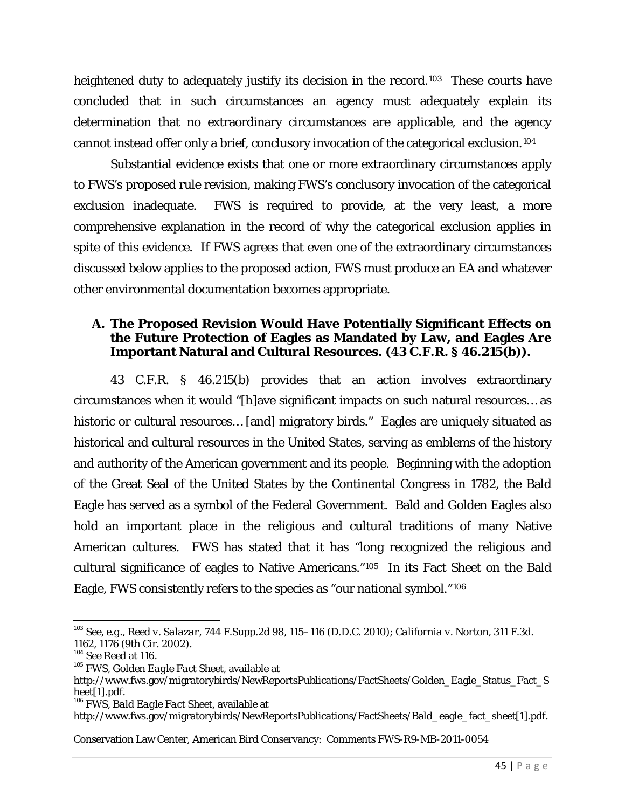heightened duty to adequately justify its decision in the record.<sup>103</sup> These courts have concluded that in such circumstances an agency must adequately explain its determination that no extraordinary circumstances are applicable, and the agency cannot instead offer only a brief, conclusory invocation of the categorical exclusion.[104](#page-44-1)

Substantial evidence exists that one or more extraordinary circumstances apply to FWS's proposed rule revision, making FWS's conclusory invocation of the categorical exclusion inadequate. FWS is required to provide, at the very least, a more comprehensive explanation in the record of why the categorical exclusion applies in spite of this evidence. If FWS agrees that even one of the extraordinary circumstances discussed below applies to the proposed action, FWS must produce an EA and whatever other environmental documentation becomes appropriate.

### **A. The Proposed Revision Would Have Potentially Significant Effects on the Future Protection of Eagles as Mandated by Law, and Eagles Are Important Natural and Cultural Resources. (43 C.F.R. § 46.215(b)).**

43 C.F.R. § 46.215(b) provides that an action involves extraordinary circumstances when it would "[h]ave significant impacts on such natural resources… as historic or cultural resources... [and] migratory birds." Eagles are uniquely situated as historical and cultural resources in the United States, serving as emblems of the history and authority of the American government and its people. Beginning with the adoption of the Great Seal of the United States by the Continental Congress in 1782, the Bald Eagle has served as a symbol of the Federal Government. Bald and Golden Eagles also hold an important place in the religious and cultural traditions of many Native American cultures. FWS has stated that it has "long recognized the religious and cultural significance of eagles to Native Americans."[105](#page-44-2) In its Fact Sheet on the Bald Eagle, FWS consistently refers to the species as "our national symbol."[106](#page-44-3)

<span id="page-44-0"></span> <sup>103</sup> *See, e.g.*, *Reed v. Salazar*, 744 F.Supp.2d 98, 115–116 (D.D.C. 2010); *California v. Norton*, 311 F.3d. 1162, 1176 (9th Cir. 2002).<br><sup>104</sup> See Reed at 116.

<span id="page-44-1"></span>

<span id="page-44-2"></span><sup>&</sup>lt;sup>105</sup> FWS, *Golden Eagle Fact Sheet*, available at

http://www.fws.gov/migratorybirds/NewReportsPublications/FactSheets/Golden\_Eagle\_Status\_Fact\_S heet[1].pdf.

<span id="page-44-3"></span><sup>106</sup> FWS, *Bald Eagle Fact Sheet*, available at

http://www.fws.gov/migratorybirds/NewReportsPublications/FactSheets/Bald\_eagle\_fact\_sheet[1].pdf.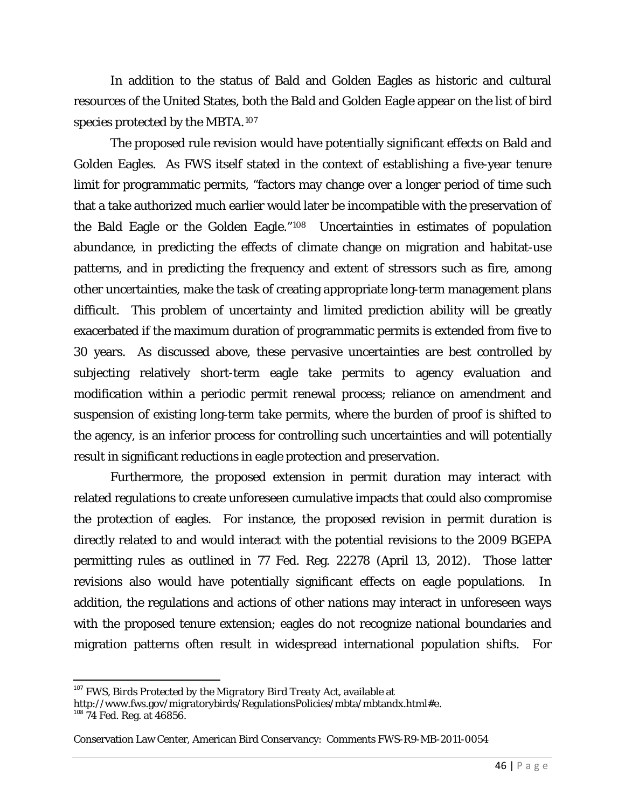In addition to the status of Bald and Golden Eagles as historic and cultural resources of the United States, both the Bald and Golden Eagle appear on the list of bird species protected by the MBTA.[107](#page-45-0)

The proposed rule revision would have potentially significant effects on Bald and Golden Eagles. As FWS itself stated in the context of establishing a five-year tenure limit for programmatic permits, "factors may change over a longer period of time such that a take authorized much earlier would later be incompatible with the preservation of the Bald Eagle or the Golden Eagle."[108](#page-45-1) Uncertainties in estimates of population abundance, in predicting the effects of climate change on migration and habitat-use patterns, and in predicting the frequency and extent of stressors such as fire, among other uncertainties, make the task of creating appropriate long-term management plans difficult. This problem of uncertainty and limited prediction ability will be greatly exacerbated if the maximum duration of programmatic permits is extended from five to 30 years. As discussed above, these pervasive uncertainties are best controlled by subjecting relatively short-term eagle take permits to agency evaluation and modification within a periodic permit renewal process; reliance on amendment and suspension of existing long-term take permits, where the burden of proof is shifted to the agency, is an inferior process for controlling such uncertainties and will potentially result in significant reductions in eagle protection and preservation.

Furthermore, the proposed extension in permit duration may interact with related regulations to create unforeseen cumulative impacts that could also compromise the protection of eagles. For instance, the proposed revision in permit duration is directly related to and would interact with the potential revisions to the 2009 BGEPA permitting rules as outlined in 77 Fed. Reg. 22278 (April 13, 2012). Those latter revisions also would have potentially significant effects on eagle populations. In addition, the regulations and actions of other nations may interact in unforeseen ways with the proposed tenure extension; eagles do not recognize national boundaries and migration patterns often result in widespread international population shifts. For

<span id="page-45-0"></span> <sup>107</sup> FWS, *Birds Protected by the Migratory Bird Treaty Act*, available at

http://www.fws.gov/migratorybirds/RegulationsPolicies/mbta/mbtandx.html#e. <sup>108</sup> 74 Fed. Reg. at 46856.

<span id="page-45-1"></span>

Conservation Law Center, American Bird Conservancy: Comments FWS-R9-MB-2011-0054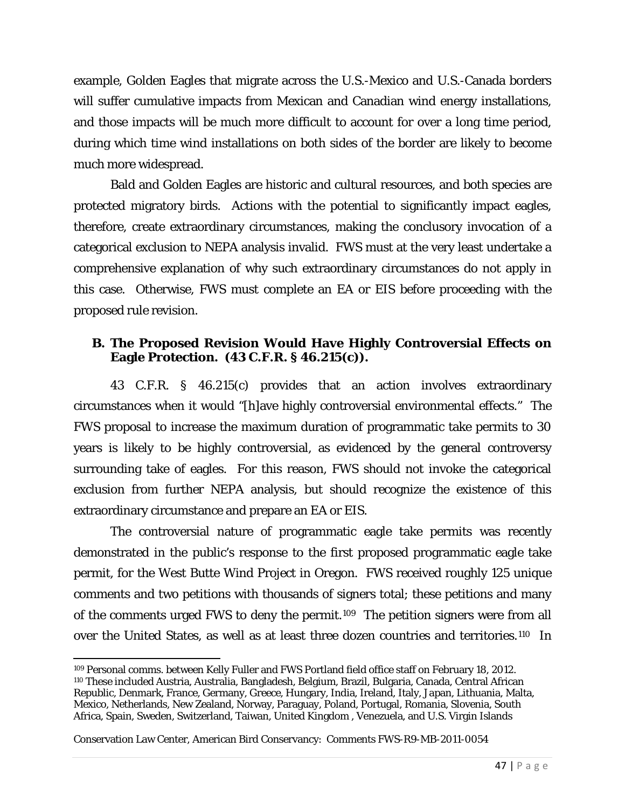example, Golden Eagles that migrate across the U.S.-Mexico and U.S.-Canada borders will suffer cumulative impacts from Mexican and Canadian wind energy installations, and those impacts will be much more difficult to account for over a long time period, during which time wind installations on both sides of the border are likely to become much more widespread.

Bald and Golden Eagles are historic and cultural resources, and both species are protected migratory birds. Actions with the potential to significantly impact eagles, therefore, create extraordinary circumstances, making the conclusory invocation of a categorical exclusion to NEPA analysis invalid. FWS must at the very least undertake a comprehensive explanation of why such extraordinary circumstances do not apply in this case. Otherwise, FWS must complete an EA or EIS before proceeding with the proposed rule revision.

### **B. The Proposed Revision Would Have Highly Controversial Effects on Eagle Protection. (43 C.F.R. § 46.215(c)).**

43 C.F.R. § 46.215(c) provides that an action involves extraordinary circumstances when it would "[h]ave highly controversial environmental effects." The FWS proposal to increase the maximum duration of programmatic take permits to 30 years is likely to be highly controversial, as evidenced by the general controversy surrounding take of eagles. For this reason, FWS should not invoke the categorical exclusion from further NEPA analysis, but should recognize the existence of this extraordinary circumstance and prepare an EA or EIS.

The controversial nature of programmatic eagle take permits was recently demonstrated in the public's response to the first proposed programmatic eagle take permit, for the West Butte Wind Project in Oregon. FWS received roughly 125 unique comments and two petitions with thousands of signers total; these petitions and many of the comments urged FWS to deny the permit.[109](#page-46-0) The petition signers were from all over the United States, as well as at least three dozen countries and territories.[110](#page-46-1) In

<span id="page-46-1"></span><span id="page-46-0"></span> $\overline{\phantom{a}}$ <sup>109</sup> Personal comms. between Kelly Fuller and FWS Portland field office staff on February 18, 2012. <sup>110</sup> These included Austria, Australia, Bangladesh, Belgium, Brazil, Bulgaria, Canada, Central African Republic, Denmark, France, Germany, Greece, Hungary, India, Ireland, Italy, Japan, Lithuania, Malta, Mexico, Netherlands, New Zealand, Norway, Paraguay, Poland, Portugal, Romania, Slovenia, South Africa, Spain, Sweden, Switzerland, Taiwan, United Kingdom , Venezuela, and U.S. Virgin Islands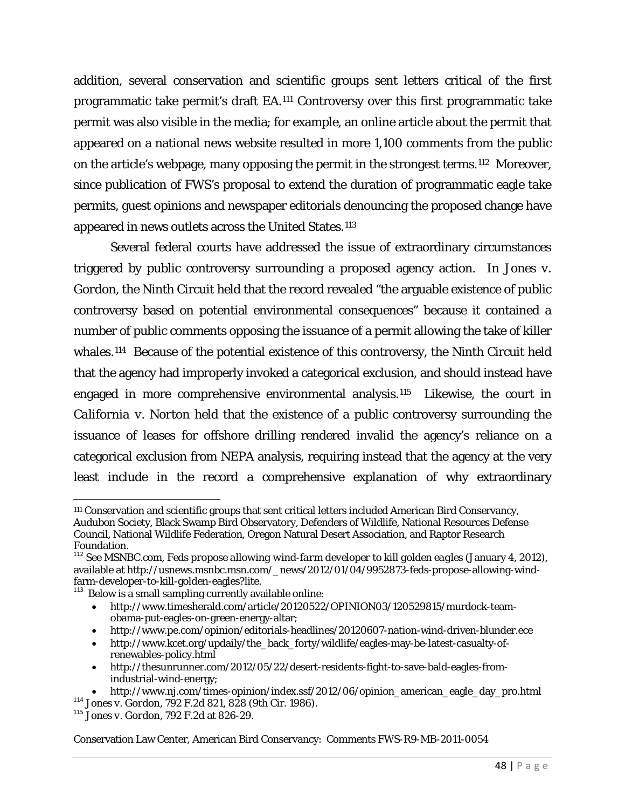addition, several conservation and scientific groups sent letters critical of the first programmatic take permit's draft EA[.111](#page-47-0) Controversy over this first programmatic take permit was also visible in the media; for example, an online article about the permit that appeared on a national news website resulted in more 1,100 comments from the public on the article's webpage, many opposing the permit in the strongest terms.[112](#page-47-1) Moreover, since publication of FWS's proposal to extend the duration of programmatic eagle take permits, guest opinions and newspaper editorials denouncing the proposed change have appeared in news outlets across the United States.<sup>[113](#page-47-2)</sup>

Several federal courts have addressed the issue of extraordinary circumstances triggered by public controversy surrounding a proposed agency action. In *Jones v. Gordon*, the Ninth Circuit held that the record revealed "the arguable existence of public controversy based on potential environmental consequences" because it contained a number of public comments opposing the issuance of a permit allowing the take of killer whales.[114](#page-47-3) Because of the potential existence of this controversy, the Ninth Circuit held that the agency had improperly invoked a categorical exclusion, and should instead have engaged in more comprehensive environmental analysis.[115](#page-47-4) Likewise, the court in *California v. Norton* held that the existence of a public controversy surrounding the issuance of leases for offshore drilling rendered invalid the agency's reliance on a categorical exclusion from NEPA analysis, requiring instead that the agency at the very least include in the record a comprehensive explanation of why extraordinary

- [http://www.timesherald.com/article/20120522/OPINION03/120529815/murdock-team](http://www.timesherald.com/article/20120522/OPINION03/120529815/murdock-team-obama-put-eagles-on-green-energy-altar)[obama-put-eagles-on-green-energy-altar;](http://www.timesherald.com/article/20120522/OPINION03/120529815/murdock-team-obama-put-eagles-on-green-energy-altar)
- <http://www.pe.com/opinion/editorials-headlines/20120607-nation-wind-driven-blunder.ece>
- [http://www.kcet.org/updaily/the\\_back\\_forty/wildlife/eagles-may-be-latest-casualty-of](http://www.kcet.org/updaily/the_back_forty/wildlife/eagles-may-be-latest-casualty-of-renewables-policy.html)[renewables-policy.html](http://www.kcet.org/updaily/the_back_forty/wildlife/eagles-may-be-latest-casualty-of-renewables-policy.html)
- [http://thesunrunner.com/2012/05/22/desert-residents-fight-to-save-bald-eagles-from](http://thesunrunner.com/2012/05/22/desert-residents-fight-to-save-bald-eagles-from-industrial-wind-energy)[industrial-wind-energy;](http://thesunrunner.com/2012/05/22/desert-residents-fight-to-save-bald-eagles-from-industrial-wind-energy)

 $\overline{\phantom{a}}$ 

<span id="page-47-0"></span><sup>111</sup> Conservation and scientific groups that sent critical letters included American Bird Conservancy, Audubon Society, Black Swamp Bird Observatory, Defenders of Wildlife, National Resources Defense Council, National Wildlife Federation, Oregon Natural Desert Association, and Raptor Research Foundation.

<span id="page-47-1"></span><sup>112</sup> See MSNBC.com, *Feds propose allowing wind-farm developer to kill golden eagles* (January 4, 2012), available at http://usnews.msnbc.msn.com/\_news/2012/01/04/9952873-feds-propose-allowing-wind-<br>farm-developer-to-kill-golden-eagles?lite.

<span id="page-47-2"></span> $\frac{113}{113}$  Below is a small sampling currently available online:

<span id="page-47-3"></span><sup>•</sup> [http://www.nj.com/times-opinion/index.ssf/2012/06/opinion\\_american\\_eagle\\_day\\_pro.html](http://www.nj.com/times-opinion/index.ssf/2012/06/opinion_american_eagle_day_pro.html) <sup>114</sup> *Jones v. Gordon*, 792 F.2d 821, 828 (9th Cir. 1986). <sup>115</sup> *Jones v. Gordon*, 792 F.2d at 826-29.

<span id="page-47-4"></span>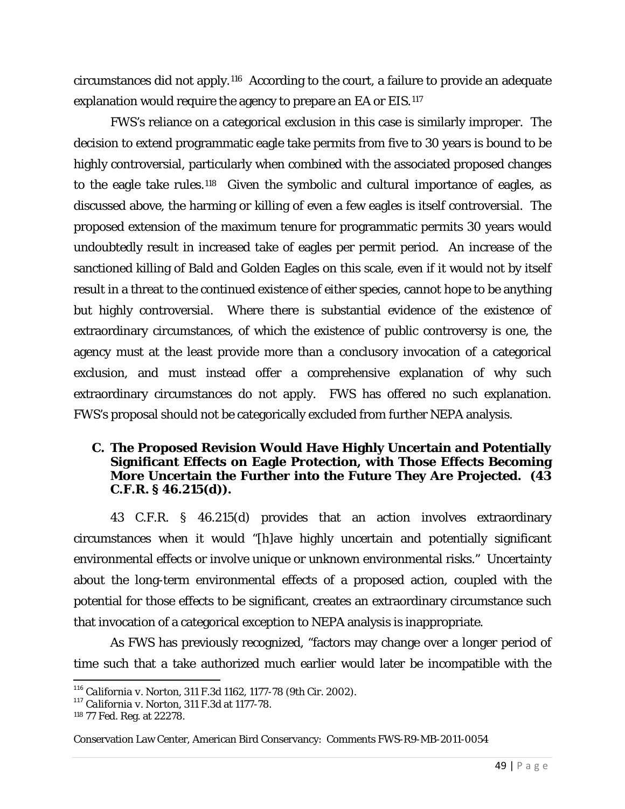circumstances did not apply.[116](#page-48-0) According to the court, a failure to provide an adequate explanation would require the agency to prepare an EA or EIS.[117](#page-48-1)

FWS's reliance on a categorical exclusion in this case is similarly improper. The decision to extend programmatic eagle take permits from five to 30 years is bound to be highly controversial, particularly when combined with the associated proposed changes to the eagle take rules.[118](#page-48-2) Given the symbolic and cultural importance of eagles, as discussed above, the harming or killing of even a few eagles is itself controversial. The proposed extension of the maximum tenure for programmatic permits 30 years would undoubtedly result in increased take of eagles per permit period. An increase of the sanctioned killing of Bald and Golden Eagles on this scale, even if it would not by itself result in a threat to the continued existence of either species, cannot hope to be anything but highly controversial. Where there is substantial evidence of the existence of extraordinary circumstances, of which the existence of public controversy is one, the agency must at the least provide more than a conclusory invocation of a categorical exclusion, and must instead offer a comprehensive explanation of why such extraordinary circumstances do not apply. FWS has offered no such explanation. FWS's proposal should not be categorically excluded from further NEPA analysis.

#### **C. The Proposed Revision Would Have Highly Uncertain and Potentially Significant Effects on Eagle Protection, with Those Effects Becoming More Uncertain the Further into the Future They Are Projected. (43 C.F.R. § 46.215(d)).**

43 C.F.R. § 46.215(d) provides that an action involves extraordinary circumstances when it would "[h]ave highly uncertain and potentially significant environmental effects or involve unique or unknown environmental risks." Uncertainty about the long-term environmental effects of a proposed action, coupled with the potential for those effects to be significant, creates an extraordinary circumstance such that invocation of a categorical exception to NEPA analysis is inappropriate.

As FWS has previously recognized, "factors may change over a longer period of time such that a take authorized much earlier would later be incompatible with the

<span id="page-48-0"></span><sup>116</sup> *California v. Norton*, 311 F.3d 1162, 1177-78 (9th Cir. 2002). <sup>117</sup> *California v. Norton*, 311 F.3d at 1177-78.

<span id="page-48-1"></span>

<span id="page-48-2"></span><sup>118</sup> 77 Fed. Reg. at 22278.

Conservation Law Center, American Bird Conservancy: Comments FWS-R9-MB-2011-0054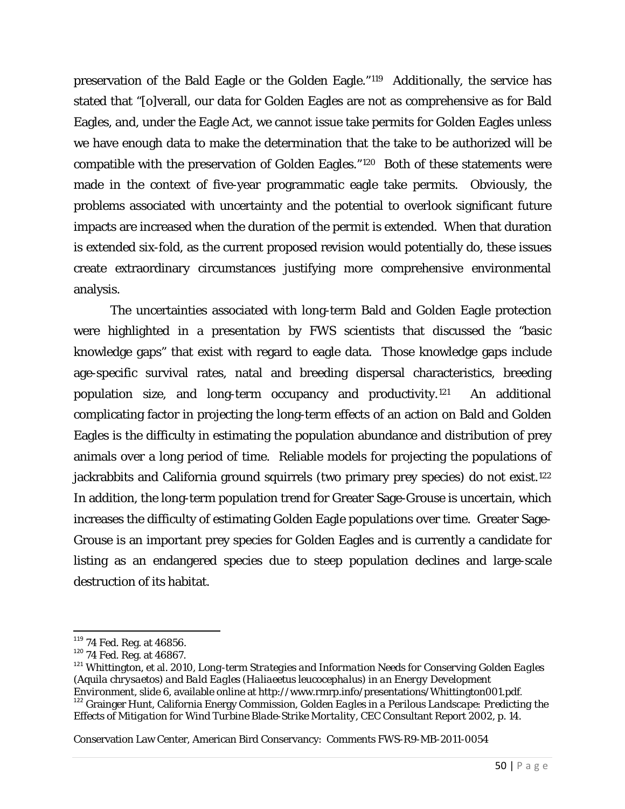preservation of the Bald Eagle or the Golden Eagle."[119](#page-49-0) Additionally, the service has stated that "[o]verall, our data for Golden Eagles are not as comprehensive as for Bald Eagles, and, under the Eagle Act, we cannot issue take permits for Golden Eagles unless we have enough data to make the determination that the take to be authorized will be compatible with the preservation of Golden Eagles."[120](#page-49-1) Both of these statements were made in the context of five-year programmatic eagle take permits. Obviously, the problems associated with uncertainty and the potential to overlook significant future impacts are increased when the duration of the permit is extended. When that duration is extended six-fold, as the current proposed revision would potentially do, these issues create extraordinary circumstances justifying more comprehensive environmental analysis.

The uncertainties associated with long-term Bald and Golden Eagle protection were highlighted in a presentation by FWS scientists that discussed the "basic knowledge gaps" that exist with regard to eagle data. Those knowledge gaps include age-specific survival rates, natal and breeding dispersal characteristics, breeding population size, and long-term occupancy and productivity.[121](#page-49-2) An additional complicating factor in projecting the long-term effects of an action on Bald and Golden Eagles is the difficulty in estimating the population abundance and distribution of prey animals over a long period of time. Reliable models for projecting the populations of jackrabbits and California ground squirrels (two primary prey species) do not exist.<sup>[122](#page-49-3)</sup> In addition, the long-term population trend for Greater Sage-Grouse is uncertain, which increases the difficulty of estimating Golden Eagle populations over time. Greater Sage-Grouse is an important prey species for Golden Eagles and is currently a candidate for listing as an endangered species due to steep population declines and large-scale destruction of its habitat.

<span id="page-49-2"></span><span id="page-49-1"></span>

<span id="page-49-0"></span><sup>&</sup>lt;sup>119</sup> 74 Fed. Reg. at 46856.<br><sup>120</sup> 74 Fed. Reg. at 46867.<br><sup>121</sup> Whittington, et al. 2010, *Long-term Strategies and Information Needs for Conserving Golden Eagles (Aquila chrysaetos) and Bald Eagles (Haliaeetus leucocephalus) in an Energy Development Environment*, slide 6, available online at http://www.rmrp.info/presentations/Whittington001.pdf. 122 Grainger Hunt, California Energy Commission, *Golden Eagles in a Perilous Landscape: Predicting the* 

<span id="page-49-3"></span>*Effects of Mitigation for Wind Turbine Blade-Strike Mortality*, CEC Consultant Report 2002, p. 14.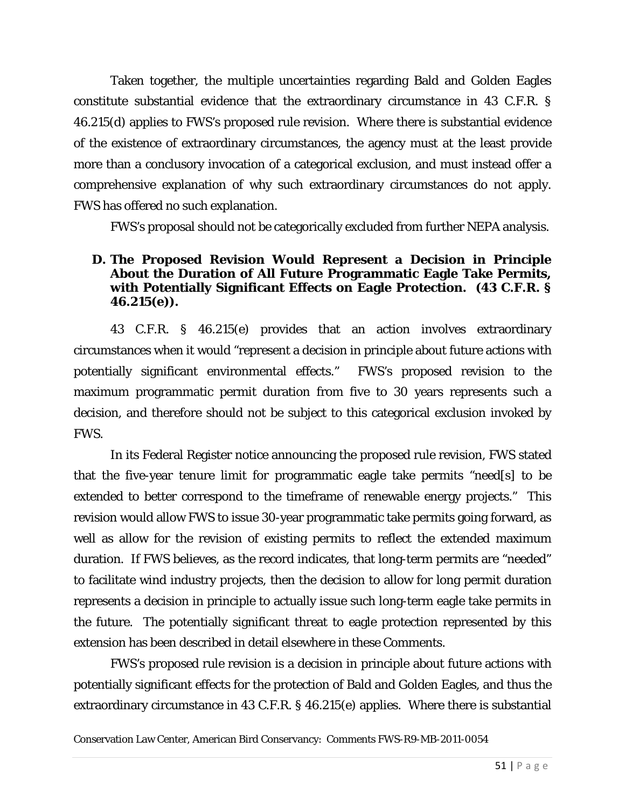Taken together, the multiple uncertainties regarding Bald and Golden Eagles constitute substantial evidence that the extraordinary circumstance in 43 C.F.R. § 46.215(d) applies to FWS's proposed rule revision. Where there is substantial evidence of the existence of extraordinary circumstances, the agency must at the least provide more than a conclusory invocation of a categorical exclusion, and must instead offer a comprehensive explanation of why such extraordinary circumstances do not apply. FWS has offered no such explanation.

FWS's proposal should not be categorically excluded from further NEPA analysis.

### **D. The Proposed Revision Would Represent a Decision in Principle About the Duration of All Future Programmatic Eagle Take Permits, with Potentially Significant Effects on Eagle Protection. (43 C.F.R. § 46.215(e)).**

43 C.F.R. § 46.215(e) provides that an action involves extraordinary circumstances when it would "represent a decision in principle about future actions with potentially significant environmental effects." FWS's proposed revision to the maximum programmatic permit duration from five to 30 years represents such a decision, and therefore should not be subject to this categorical exclusion invoked by FWS.

In its Federal Register notice announcing the proposed rule revision, FWS stated that the five-year tenure limit for programmatic eagle take permits "need[s] to be extended to better correspond to the timeframe of renewable energy projects." This revision would allow FWS to issue 30-year programmatic take permits going forward, as well as allow for the revision of existing permits to reflect the extended maximum duration. If FWS believes, as the record indicates, that long-term permits are "needed" to facilitate wind industry projects, then the decision to allow for long permit duration represents a decision in principle to actually issue such long-term eagle take permits in the future. The potentially significant threat to eagle protection represented by this extension has been described in detail elsewhere in these Comments.

FWS's proposed rule revision is a decision in principle about future actions with potentially significant effects for the protection of Bald and Golden Eagles, and thus the extraordinary circumstance in 43 C.F.R. § 46.215(e) applies. Where there is substantial